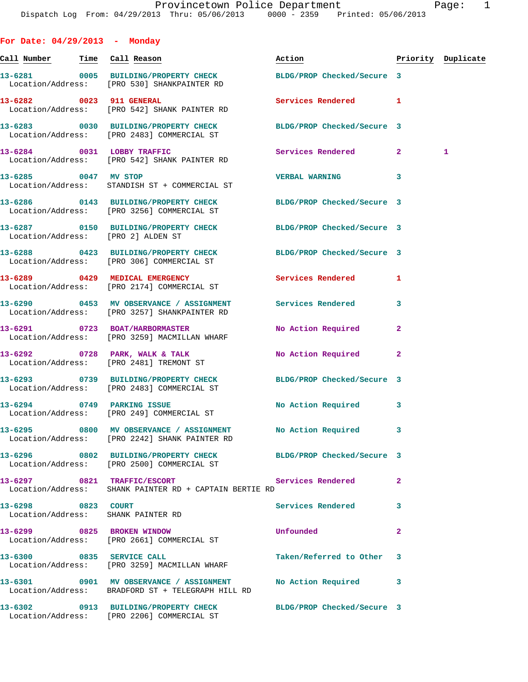| σ |  |
|---|--|
|   |  |

**For Date: 04/29/2013 - Monday Call Number Time Call Reason Action Priority Duplicate 13-6281 0005 BUILDING/PROPERTY CHECK BLDG/PROP Checked/Secure 3**  Location/Address: [PRO 530] SHANKPAINTER RD **13-6282 0023 911 GENERAL Services Rendered 1**  Location/Address: [PRO 542] SHANK PAINTER RD **13-6283 0030 BUILDING/PROPERTY CHECK BLDG/PROP Checked/Secure 3**  Location/Address: [PRO 2483] COMMERCIAL ST **13-6284 0031 LOBBY TRAFFIC Services Rendered 2 1**  Location/Address: [PRO 542] SHANK PAINTER RD **13-6285 0047 MV STOP VERBAL WARNING 3**  Location/Address: STANDISH ST + COMMERCIAL ST **13-6286 0143 BUILDING/PROPERTY CHECK BLDG/PROP Checked/Secure 3**  Location/Address: [PRO 3256] COMMERCIAL ST **13-6287 0150 BUILDING/PROPERTY CHECK BLDG/PROP Checked/Secure 3**  Location/Address: [PRO 2] ALDEN ST **13-6288 0423 BUILDING/PROPERTY CHECK BLDG/PROP Checked/Secure 3**  Location/Address: [PRO 306] COMMERCIAL ST **13-6289 0429 MEDICAL EMERGENCY Services Rendered 1**  Location/Address: [PRO 2174] COMMERCIAL ST **13-6290 0453 MV OBSERVANCE / ASSIGNMENT Services Rendered 3**  Location/Address: [PRO 3257] SHANKPAINTER RD **13-6291 0723 BOAT/HARBORMASTER No Action Required 2**  Location/Address: [PRO 3259] MACMILLAN WHARF **13-6292 0728 PARK, WALK & TALK No Action Required 2**  Location/Address: [PRO 2481] TREMONT ST **13-6293 0739 BUILDING/PROPERTY CHECK BLDG/PROP Checked/Secure 3**  Location/Address: [PRO 2483] COMMERCIAL ST 13-6294 0749 PARKING ISSUE **No Action Required** 3 Location/Address: [PRO 249] COMMERCIAL ST **13-6295 0800 MV OBSERVANCE / ASSIGNMENT No Action Required 3**  Location/Address: [PRO 2242] SHANK PAINTER RD **13-6296 0802 BUILDING/PROPERTY CHECK BLDG/PROP Checked/Secure 3**  Location/Address: [PRO 2500] COMMERCIAL ST **13-6297 0821 TRAFFIC/ESCORT Services Rendered 2**  Location/Address: SHANK PAINTER RD + CAPTAIN BERTIE RD **13-6298 0823 COURT Services Rendered 3**  Location/Address: SHANK PAINTER RD **13-6299 0825 BROKEN WINDOW Unfounded 2**  Location/Address: [PRO 2661] COMMERCIAL ST **13-6300 0835 SERVICE CALL Taken/Referred to Other 3**  Location/Address: [PRO 3259] MACMILLAN WHARF **13-6301 0901 MV OBSERVANCE / ASSIGNMENT No Action Required 3**  Location/Address: BRADFORD ST + TELEGRAPH HILL RD

**13-6302 0913 BUILDING/PROPERTY CHECK BLDG/PROP Checked/Secure 3**  Location/Address: [PRO 2206] COMMERCIAL ST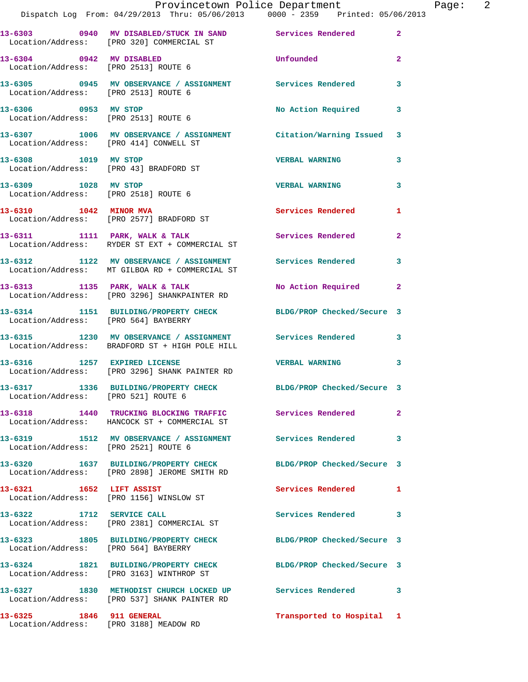|                                        | Provincetown Police Department Fage: 2<br>Dispatch Log From: 04/29/2013 Thru: 05/06/2013 0000 - 2359 Printed: 05/06/2013 |                           |              |
|----------------------------------------|--------------------------------------------------------------------------------------------------------------------------|---------------------------|--------------|
|                                        | 13-6303 0940 MV DISABLED/STUCK IN SAND Services Rendered<br>Location/Address: [PRO 320] COMMERCIAL ST                    |                           | $\mathbf{2}$ |
|                                        | 13-6304 0942 MV DISABLED<br>Location/Address: [PRO 2513] ROUTE 6                                                         | <b>Unfounded United</b>   | $\mathbf{2}$ |
|                                        | 13-6305      0945   MV OBSERVANCE / ASSIGNMENT       Services Rendered<br>Location/Address:    [PRO 2513] ROUTE 6        |                           | 3            |
|                                        | 13-6306 0953 MV STOP<br>Location/Address: [PRO 2513] ROUTE 6                                                             | No Action Required 3      |              |
| Location/Address: [PRO 414] CONWELL ST | 13-6307 1006 MV OBSERVANCE / ASSIGNMENT Citation/Warning Issued 3                                                        |                           |              |
|                                        | 13-6308 1019 MV STOP<br>Location/Address: [PRO 43] BRADFORD ST                                                           | <b>VERBAL WARNING</b>     | 3            |
| 13-6309 1028 MV STOP                   | Location/Address: [PRO 2518] ROUTE 6                                                                                     | <b>VERBAL WARNING</b>     | 3            |
|                                        | 13-6310 1042 MINOR MVA<br>Location/Address: [PRO 2577] BRADFORD ST                                                       | Services Rendered         | 1            |
|                                        | 13-6311 1111 1111 PARK, WALK & TALK 1111 CONTRACT SERVICES Rendered<br>Location/Address: RYDER ST EXT + COMMERCIAL ST    |                           |              |
|                                        | 13-6312 1122 MV OBSERVANCE / ASSIGNMENT Services Rendered<br>Location/Address: MT GILBOA RD + COMMERCIAL ST              |                           | 3            |
|                                        | 13-6313 1135 PARK, WALK & TALK 1988 No Action Required 2<br>Location/Address: [PRO 3296] SHANKPAINTER RD                 |                           |              |
| Location/Address: [PRO 564] BAYBERRY   | 13-6314 1151 BUILDING/PROPERTY CHECK BLDG/PROP Checked/Secure 3                                                          |                           |              |
|                                        | 13-6315 1230 MV OBSERVANCE / ASSIGNMENT Services Rendered 3<br>Location/Address: BRADFORD ST + HIGH POLE HILL            |                           |              |
|                                        |                                                                                                                          | <b>VERBAL WARNING</b>     | $\mathbf{3}$ |
| Location/Address: [PRO 521] ROUTE 6    | 13-6317 1336 BUILDING/PROPERTY CHECK BLDG/PROP Checked/Secure 3                                                          |                           |              |
|                                        | 13-6318 1440 TRUCKING BLOCKING TRAFFIC Services Rendered<br>Location/Address: HANCOCK ST + COMMERCIAL ST                 |                           | $\mathbf{2}$ |
| Location/Address: [PRO 2521] ROUTE 6   | 13-6319 1512 MV OBSERVANCE / ASSIGNMENT Services Rendered                                                                |                           | $\mathbf{3}$ |
|                                        | 13-6320 1637 BUILDING/PROPERTY CHECK BLDG/PROP Checked/Secure 3<br>Location/Address: [PRO 2898] JEROME SMITH RD          |                           |              |
| 13-6321 1652 LIFT ASSIST               | Location/Address: [PRO 1156] WINSLOW ST                                                                                  | Services Rendered 1       |              |
|                                        | 13-6322 1712 SERVICE CALL<br>Location/Address: [PRO 2381] COMMERCIAL ST                                                  | Services Rendered         | 3            |
| Location/Address: [PRO 564] BAYBERRY   | 13-6323 1805 BUILDING/PROPERTY CHECK BLDG/PROP Checked/Secure 3                                                          |                           |              |
|                                        | 13-6324 1821 BUILDING/PROPERTY CHECK BLDG/PROP Checked/Secure 3<br>Location/Address: [PRO 3163] WINTHROP ST              |                           |              |
|                                        | 13-6327 1830 METHODIST CHURCH LOCKED UP Services Rendered 3<br>Location/Address: [PRO 537] SHANK PAINTER RD              |                           |              |
| 13-6325 1846 911 GENERAL               |                                                                                                                          | Transported to Hospital 1 |              |

Location/Address: [PRO 3188] MEADOW RD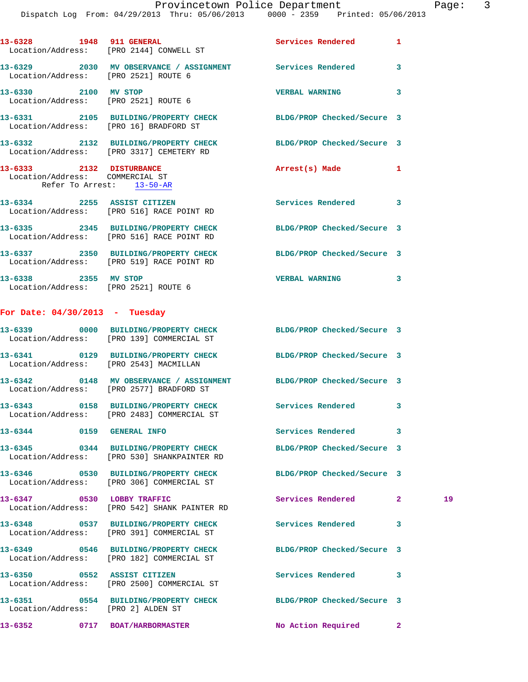|                                  | Dispatch Log From: 04/29/2013 Thru: 05/06/2013 0000 - 2359 Printed: 05/06/2013                                 |                            |              |    |
|----------------------------------|----------------------------------------------------------------------------------------------------------------|----------------------------|--------------|----|
|                                  | 13-6328 1948 911 GENERAL<br>Location/Address: [PRO 2144] CONWELL ST                                            | Services Rendered          | 1            |    |
|                                  | 13-6329 2030 MV OBSERVANCE / ASSIGNMENT Services Rendered<br>Location/Address: [PRO 2521] ROUTE 6              |                            | 3            |    |
| 13-6330 2100 MV STOP             | Location/Address: [PRO 2521] ROUTE 6                                                                           | <b>VERBAL WARNING</b>      | 3            |    |
|                                  | 13-6331 2105 BUILDING/PROPERTY CHECK BLDG/PROP Checked/Secure 3<br>Location/Address: [PRO 16] BRADFORD ST      |                            |              |    |
|                                  | 13-6332 2132 BUILDING/PROPERTY CHECK BLDG/PROP Checked/Secure 3<br>Location/Address: [PRO 3317] CEMETERY RD    |                            |              |    |
| Location/Address: COMMERCIAL ST  | 13-6333 2132 DISTURBANCE<br>Refer To Arrest: 13-50-AR                                                          | Arrest(s) Made             | 1            |    |
|                                  | 13-6334 2255 ASSIST CITIZEN<br>Location/Address: [PRO 516] RACE POINT RD                                       | Services Rendered 3        |              |    |
|                                  | 13-6335 2345 BUILDING/PROPERTY CHECK<br>Location/Address: [PRO 516] RACE POINT RD                              | BLDG/PROP Checked/Secure 3 |              |    |
|                                  | 13-6337 2350 BUILDING/PROPERTY CHECK<br>Location/Address: [PRO 519] RACE POINT RD                              | BLDG/PROP Checked/Secure 3 |              |    |
|                                  | 13-6338 2355 MV STOP<br>Location/Address: [PRO 2521] ROUTE 6                                                   | VERBAL WARNING 3           |              |    |
| For Date: $04/30/2013$ - Tuesday |                                                                                                                |                            |              |    |
|                                  | 13-6339 0000 BUILDING/PROPERTY CHECK BLDG/PROP Checked/Secure 3<br>Location/Address: [PRO 139] COMMERCIAL ST   |                            |              |    |
|                                  | 13-6341 0129 BUILDING/PROPERTY CHECK BLDG/PROP Checked/Secure 3<br>Location/Address: [PRO 2543] MACMILLAN      |                            |              |    |
|                                  | 13-6342 0148 MV OBSERVANCE / ASSIGNMENT BLDG/PROP Checked/Secure 3<br>Location/Address: [PRO 2577] BRADFORD ST |                            |              |    |
|                                  | 13-6343 0158 BUILDING/PROPERTY CHECK<br>Location/Address: [PRO 2483] COMMERCIAL ST                             | Services Rendered          | 3            |    |
| 13-6344 0159 GENERAL INFO        |                                                                                                                | <b>Services Rendered</b>   | 3            |    |
|                                  | 13-6345 0344 BUILDING/PROPERTY CHECK<br>Location/Address: [PRO 530] SHANKPAINTER RD                            | BLDG/PROP Checked/Secure 3 |              |    |
|                                  | 13-6346 0530 BUILDING/PROPERTY CHECK<br>Location/Address: [PRO 306] COMMERCIAL ST                              | BLDG/PROP Checked/Secure 3 |              |    |
| 13-6347 0530 LOBBY TRAFFIC       | Location/Address: [PRO 542] SHANK PAINTER RD                                                                   | Services Rendered          | $\mathbf{2}$ | 19 |
|                                  | 13-6348 0537 BUILDING/PROPERTY CHECK<br>Location/Address: [PRO 391] COMMERCIAL ST                              | <b>Services Rendered</b>   | 3            |    |
|                                  | 13-6349 0546 BUILDING/PROPERTY CHECK<br>Location/Address: [PRO 182] COMMERCIAL ST                              | BLDG/PROP Checked/Secure 3 |              |    |
|                                  | 13-6350 0552 ASSIST CITIZEN<br>Location/Address: [PRO 2500] COMMERCIAL ST                                      | <b>Services Rendered</b>   | 3            |    |
|                                  | 13-6351 0554 BUILDING/PROPERTY CHECK<br>Location/Address: [PRO 2] ALDEN ST                                     | BLDG/PROP Checked/Secure 3 |              |    |
|                                  | 13-6352 0717 BOAT/HARBORMASTER                                                                                 | No Action Required         | $\mathbf{2}$ |    |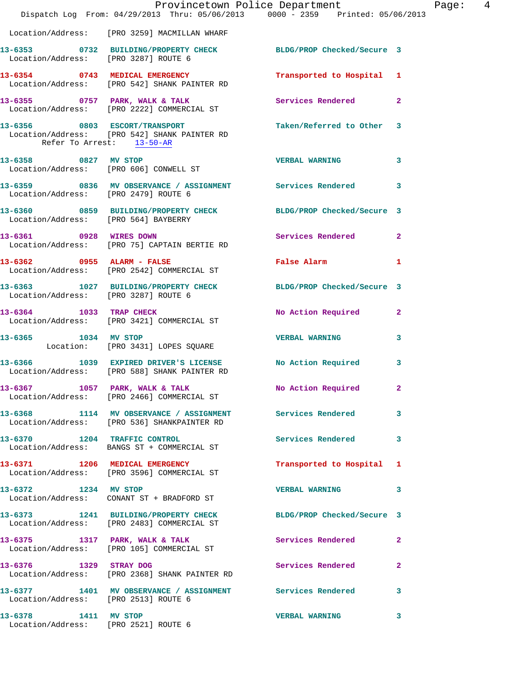|                                                              | Dispatch Log From: 04/29/2013 Thru: 05/06/2013 0000 - 2359 Printed: 05/06/2013                                | Provincetown Police Department Page: 4      |              |
|--------------------------------------------------------------|---------------------------------------------------------------------------------------------------------------|---------------------------------------------|--------------|
|                                                              | Location/Address: [PRO 3259] MACMILLAN WHARF                                                                  |                                             |              |
|                                                              | 13-6353 0732 BUILDING/PROPERTY CHECK BLDG/PROP Checked/Secure 3<br>Location/Address: [PRO 3287] ROUTE 6       |                                             |              |
|                                                              | 13-6354 0743 MEDICAL EMERGENCY<br>Location/Address: [PRO 542] SHANK PAINTER RD                                | Transported to Hospital 1                   |              |
|                                                              | 13-6355 0757 PARK, WALK & TALK Services Rendered 2<br>Location/Address: [PRO 2222] COMMERCIAL ST              |                                             |              |
| Refer To Arrest: 13-50-AR                                    | 13-6356 0803 ESCORT/TRANSPORT<br>Location/Address: [PRO 542] SHANK PAINTER RD                                 | Taken/Referred to Other 3                   |              |
|                                                              | 13-6358 0827 MV STOP<br>Location/Address: [PRO 606] CONWELL ST                                                | <b>VERBAL WARNING</b>                       | 3            |
| Location/Address: [PRO 2479] ROUTE 6                         | 13-6359 0836 MV OBSERVANCE / ASSIGNMENT Services Rendered 3                                                   |                                             |              |
| Location/Address: [PRO 564] BAYBERRY                         | 13-6360 0859 BUILDING/PROPERTY CHECK BLDG/PROP Checked/Secure 3                                               |                                             |              |
|                                                              | 13-6361 0928 WIRES DOWN<br>Location/Address: [PRO 75] CAPTAIN BERTIE RD                                       | Services Rendered 2                         |              |
|                                                              | 13-6362 0955 ALARM - FALSE<br>Location/Address: [PRO 2542] COMMERCIAL ST                                      | False Alarm <b>Exercise Service Service</b> | 1            |
|                                                              | 13-6363 1027 BUILDING/PROPERTY CHECK BLDG/PROP Checked/Secure 3<br>Location/Address: [PRO 3287] ROUTE 6       |                                             |              |
|                                                              | 13-6364 1033 TRAP CHECK<br>Location/Address: [PRO 3421] COMMERCIAL ST                                         | No Action Required 2                        |              |
| 13-6365 1034 MV STOP                                         | Location: [PRO 3431] LOPES SQUARE                                                                             | <b>VERBAL WARNING</b>                       | 3            |
|                                                              | 13-6366 1039 EXPIRED DRIVER'S LICENSE No Action Required 3<br>Location/Address: [PRO 588] SHANK PAINTER RD    |                                             |              |
|                                                              | 13-6367 1057 PARK, WALK & TALK<br>Location/Address: [PRO 2466] COMMERCIAL ST                                  | No Action Required 2                        |              |
|                                                              | 13-6368 1114 MV OBSERVANCE / ASSIGNMENT Services Rendered<br>Location/Address: [PRO 536] SHANKPAINTER RD      |                                             | 3            |
|                                                              | 13-6370 1204 TRAFFIC CONTROL<br>Location/Address: BANGS ST + COMMERCIAL ST                                    | Services Rendered                           | 3            |
|                                                              | 13-6371 1206 MEDICAL EMERGENCY<br>Location/Address: [PRO 3596] COMMERCIAL ST                                  | Transported to Hospital 1                   |              |
| 13-6372 1234 MV STOP                                         | Location/Address: CONANT ST + BRADFORD ST                                                                     | <b>VERBAL WARNING</b>                       | 3            |
|                                                              | 13-6373 1241 BUILDING/PROPERTY CHECK BLDG/PROP Checked/Secure 3<br>Location/Address: [PRO 2483] COMMERCIAL ST |                                             |              |
|                                                              | 13-6375 1317 PARK, WALK & TALK<br>Location/Address: [PRO 105] COMMERCIAL ST                                   | Services Rendered                           | $\mathbf{2}$ |
|                                                              | 13-6376 1329 STRAY DOG<br>Location/Address: [PRO 2368] SHANK PAINTER RD                                       | Services Rendered                           | 2            |
| Location/Address: [PRO 2513] ROUTE 6                         | 13-6377 1401 MV OBSERVANCE / ASSIGNMENT Services Rendered                                                     |                                             | 3            |
| 13-6378 1411 MV STOP<br>Location/Address: [PRO 2521] ROUTE 6 |                                                                                                               | <b>VERBAL WARNING</b>                       | 3            |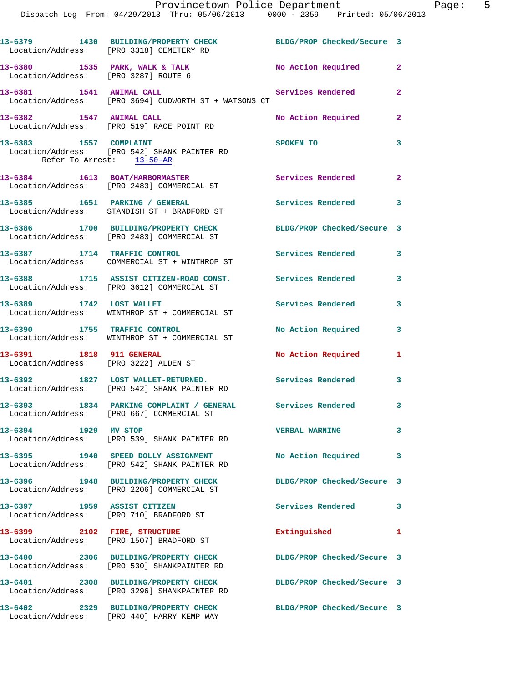|                                                     | Provincetown Police Department<br>Dispatch Log From: 04/29/2013 Thru: 05/06/2013 0000 - 2359 Printed: 05/06/2013 |                            |                |
|-----------------------------------------------------|------------------------------------------------------------------------------------------------------------------|----------------------------|----------------|
|                                                     | 13-6379 1430 BUILDING/PROPERTY CHECK<br>Location/Address: [PRO 3318] CEMETERY RD                                 | BLDG/PROP Checked/Secure 3 |                |
|                                                     | 13-6380 1535 PARK, WALK & TALK 1999 No Action Required Location/Address: [PRO 3287] ROUTE 6                      |                            | $\mathbf{2}$   |
|                                                     | 13-6381 1541 ANIMAL CALL<br>Location/Address: [PRO 3694] CUDWORTH ST + WATSONS CT                                | Services Rendered          | $\overline{2}$ |
| 13-6382 1547 ANIMAL CALL                            | Location/Address: [PRO 519] RACE POINT RD                                                                        | No Action Required         | $\mathbf{2}$   |
| 13-6383 1557 COMPLAINT<br>Refer To Arrest: 13-50-AR | Location/Address: [PRO 542] SHANK PAINTER RD                                                                     | <b>SPOKEN TO</b>           | 3              |
|                                                     | 13-6384 1613 BOAT/HARBORMASTER<br>Location/Address: [PRO 2483] COMMERCIAL ST                                     | <b>Services Rendered</b>   | $\mathbf{2}$   |
|                                                     | 13-6385 1651 PARKING / GENERAL<br>Location/Address: STANDISH ST + BRADFORD ST                                    | Services Rendered          | 3              |
|                                                     | 13-6386 1700 BUILDING/PROPERTY CHECK<br>Location/Address: [PRO 2483] COMMERCIAL ST                               | BLDG/PROP Checked/Secure 3 |                |
|                                                     | 13-6387 1714 TRAFFIC CONTROL<br>Location/Address: COMMERCIAL ST + WINTHROP ST                                    | <b>Services Rendered</b>   | 3              |
|                                                     | 13-6388 1715 ASSIST CITIZEN-ROAD CONST. Services Rendered<br>Location/Address: [PRO 3612] COMMERCIAL ST          |                            | 3              |
| 13-6389 1742 LOST WALLET                            | Location/Address: WINTHROP ST + COMMERCIAL ST                                                                    | <b>Services Rendered</b>   | 3              |
|                                                     | 13-6390 1755 TRAFFIC CONTROL<br>Location/Address: WINTHROP ST + COMMERCIAL ST                                    | No Action Required         | 3              |
| 13-6391 1818 911 GENERAL                            | Location/Address: [PRO 3222] ALDEN ST                                                                            | <b>No Action Required</b>  | 1              |
|                                                     | 13-6392 1827 LOST WALLET-RETURNED.<br>Location/Address: [PRO 542] SHANK PAINTER RD                               | <b>Services Rendered</b>   | 3              |
|                                                     | 13-6393 1834 PARKING COMPLAINT / GENERAL Services Rendered<br>Location/Address: [PRO 667] COMMERCIAL ST          |                            | 3              |
| 13-6394 1929 MV STOP                                | Location/Address: [PRO 539] SHANK PAINTER RD                                                                     | <b>VERBAL WARNING</b>      | 3              |
|                                                     | 13-6395 1940 SPEED DOLLY ASSIGNMENT<br>Location/Address: [PRO 542] SHANK PAINTER RD                              | No Action Required         | 3              |
| 13-6396                                             | 1948 BUILDING/PROPERTY CHECK                                                                                     | BLDG/PROP Checked/Secure 3 |                |

 Location/Address: [PRO 2206] COMMERCIAL ST **13-6397 1959 ASSIST CITIZEN Services Rendered 3** 

Location/Address: [PRO 710] BRADFORD ST

**13-6399 2102 FIRE, STRUCTURE Extinguished 1**  Location/Address: [PRO 1507] BRADFORD ST

Location/Address: [PRO 3296] SHANKPAINTER RD

Location/Address: [PRO 530] SHANKPAINTER RD

**13-6401 2308 BUILDING/PROPERTY CHECK BLDG/PROP Checked/Secure 3** 

**13-6402 2329 BUILDING/PROPERTY CHECK BLDG/PROP Checked/Secure 3**  Location/Address: [PRO 440] HARRY KEMP WAY

**13-6400 2306 BUILDING/PROPERTY CHECK BLDG/PROP Checked/Secure 3** 

Page: 5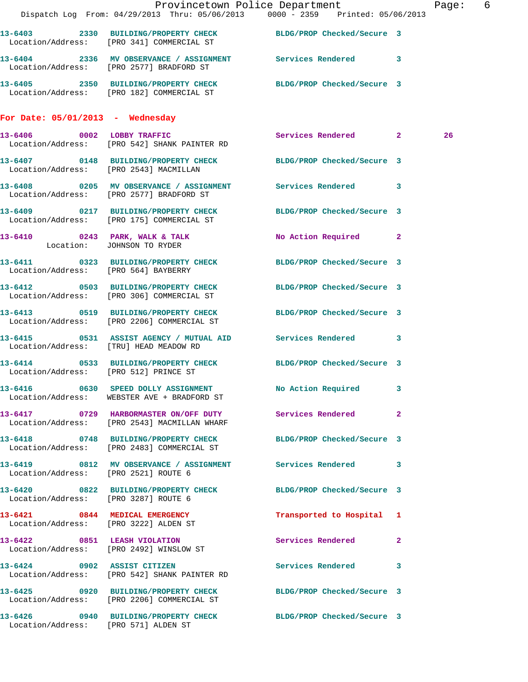|                                        |                                                                                    | Provincetown Police Department The Rage: 6<br>Dispatch Log From: 04/29/2013 Thru: 05/06/2013 0000 - 2359 Printed: 05/06/2013 |    |  |
|----------------------------------------|------------------------------------------------------------------------------------|------------------------------------------------------------------------------------------------------------------------------|----|--|
|                                        |                                                                                    | 13-6403 2330 BUILDING/PROPERTY CHECK BLDG/PROP Checked/Secure 3                                                              |    |  |
|                                        | Location/Address: [PRO 341] COMMERCIAL ST                                          |                                                                                                                              |    |  |
|                                        | Location/Address: [PRO 2577] BRADFORD ST                                           | 13-6404 2336 MV OBSERVANCE / ASSIGNMENT Services Rendered 3                                                                  |    |  |
|                                        |                                                                                    | 13-6405 2350 BUILDING/PROPERTY CHECK BLDG/PROP Checked/Secure 3<br>Location/Address: [PRO 182] COMMERCIAL ST                 |    |  |
| For Date: $05/01/2013$ - Wednesday     |                                                                                    |                                                                                                                              |    |  |
|                                        | 13-6406 0002 LOBBY TRAFFIC<br>Location/Address: [PRO 542] SHANK PAINTER RD         | Services Rendered 2                                                                                                          | 26 |  |
|                                        | Location/Address: [PRO 2543] MACMILLAN                                             | 13-6407 0148 BUILDING/PROPERTY CHECK BLDG/PROP Checked/Secure 3                                                              |    |  |
|                                        | Location/Address: [PRO 2577] BRADFORD ST                                           | 13-6408 0205 MV OBSERVANCE / ASSIGNMENT Services Rendered 3                                                                  |    |  |
|                                        | Location/Address: [PRO 175] COMMERCIAL ST                                          | 13-6409 0217 BUILDING/PROPERTY CHECK BLDG/PROP Checked/Secure 3                                                              |    |  |
|                                        | Location: JOHNSON TO RYDER                                                         | 13-6410 0243 PARK, WALK & TALK No Action Required 2                                                                          |    |  |
| Location/Address: [PRO 564] BAYBERRY   |                                                                                    | 13-6411 0323 BUILDING/PROPERTY CHECK BLDG/PROP Checked/Secure 3                                                              |    |  |
|                                        | Location/Address: [PRO 306] COMMERCIAL ST                                          | 13-6412 0503 BUILDING/PROPERTY CHECK BLDG/PROP Checked/Secure 3                                                              |    |  |
|                                        | Location/Address: [PRO 2206] COMMERCIAL ST                                         | 13-6413 0519 BUILDING/PROPERTY CHECK BLDG/PROP Checked/Secure 3                                                              |    |  |
| Location/Address: [TRU] HEAD MEADOW RD |                                                                                    | 13-6415 0531 ASSIST AGENCY / MUTUAL AID Services Rendered 3                                                                  |    |  |
|                                        |                                                                                    | 13-6414 0533 BUILDING/PROPERTY CHECK BLDG/PROP Checked/Secure 3<br>Location/Address: [PRO 512] PRINCE ST                     |    |  |
|                                        | 13-6416 0630 SPEED DOLLY ASSIGNMENT<br>Location/Address: WEBSTER AVE + BRADFORD ST | No Action Required 3                                                                                                         |    |  |
|                                        | Location/Address: [PRO 2543] MACMILLAN WHARF                                       | 13-6417 0729 HARBORMASTER ON/OFF DUTY Services Rendered 2                                                                    |    |  |
|                                        | Location/Address: [PRO 2483] COMMERCIAL ST                                         | 13-6418 0748 BUILDING/PROPERTY CHECK BLDG/PROP Checked/Secure 3                                                              |    |  |
| Location/Address: [PRO 2521] ROUTE 6   |                                                                                    | 13-6419 0812 MV OBSERVANCE / ASSIGNMENT Services Rendered 3                                                                  |    |  |
| Location/Address: [PRO 3287] ROUTE 6   |                                                                                    | 13-6420 0822 BUILDING/PROPERTY CHECK BLDG/PROP Checked/Secure 3                                                              |    |  |
| Location/Address: [PRO 3222] ALDEN ST  | 13-6421 0844 MEDICAL EMERGENCY                                                     | Transported to Hospital 1                                                                                                    |    |  |
|                                        | 13-6422 0851 LEASH VIOLATION<br>Location/Address: [PRO 2492] WINSLOW ST            | Services Rendered 2                                                                                                          |    |  |
|                                        | 13-6424 0902 ASSIST CITIZEN<br>Location/Address: [PRO 542] SHANK PAINTER RD        | Services Rendered 3                                                                                                          |    |  |
|                                        | Location/Address: [PRO 2206] COMMERCIAL ST                                         | 13-6425 0920 BUILDING/PROPERTY CHECK BLDG/PROP Checked/Secure 3                                                              |    |  |
| Location/Address: [PRO 571] ALDEN ST   |                                                                                    | 13-6426 			 0940 BUILDING/PROPERTY CHECK 				BLDG/PROP Checked/Secure 3                                                      |    |  |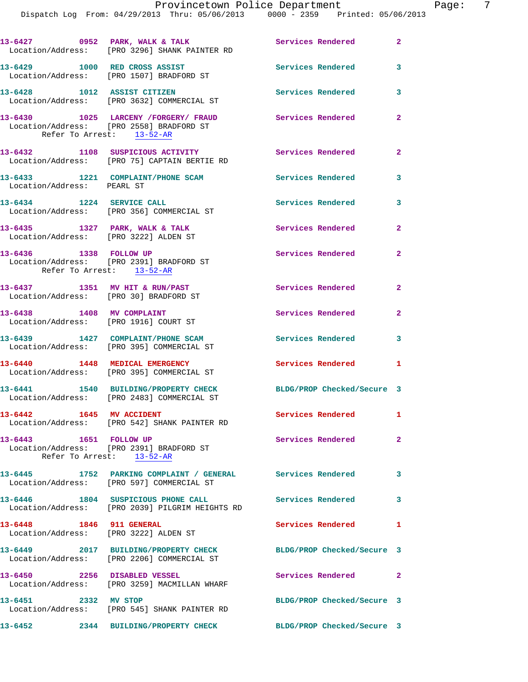|                                                                          | 13-6427 0952 PARK, WALK & TALK<br>Location/Address: [PRO 3296] SHANK PAINTER RD                 | Services Rendered 2        |                            |
|--------------------------------------------------------------------------|-------------------------------------------------------------------------------------------------|----------------------------|----------------------------|
|                                                                          | 13-6429 1000 RED CROSS ASSIST<br>Location/Address: [PRO 1507] BRADFORD ST                       | <b>Services Rendered</b>   | 3                          |
|                                                                          | 13-6428 1012 ASSIST CITIZEN<br>Location/Address: [PRO 3632] COMMERCIAL ST                       | <b>Services Rendered</b>   | $\overline{\mathbf{3}}$    |
| Refer To Arrest: 13-52-AR                                                | 13-6430 1025 LARCENY / FORGERY / FRAUD<br>Location/Address: [PRO 2558] BRADFORD ST              | Services Rendered          | $\mathbf{2}$               |
|                                                                          | 13-6432 1108 SUSPICIOUS ACTIVITY<br>Location/Address: [PRO 75] CAPTAIN BERTIE RD                | Services Rendered          | $\overline{\mathbf{2}}$    |
| Location/Address: PEARL ST                                               | 13-6433 1221 COMPLAINT/PHONE SCAM                                                               | <b>Services Rendered</b>   | $\overline{\phantom{a}}$ 3 |
|                                                                          | 13-6434 1224 SERVICE CALL<br>Location/Address: [PRO 356] COMMERCIAL ST                          | Services Rendered          | 3                          |
| 13-6435 1327 PARK, WALK & TALK                                           | Location/Address: [PRO 3222] ALDEN ST                                                           | <b>Services Rendered</b>   | $\mathbf{2}$               |
| 13-6436 1338 FOLLOW UP<br>Refer To Arrest: 13-52-AR                      | Location/Address: [PRO 2391] BRADFORD ST                                                        | <b>Services Rendered</b>   | $\mathbf{2}$               |
| 13-6437 1351 MV HIT & RUN/PAST<br>Location/Address: [PRO 30] BRADFORD ST |                                                                                                 | Services Rendered          | $\overline{2}$             |
| 13-6438 1408 MV COMPLAINT<br>Location/Address: [PRO 1916] COURT ST       |                                                                                                 | Services Rendered          | $\overline{2}$             |
|                                                                          | 13-6439 1427 COMPLAINT/PHONE SCAM<br>Location/Address: [PRO 395] COMMERCIAL ST                  | <b>Services Rendered</b>   | 3                          |
|                                                                          | 13-6440 1448 MEDICAL EMERGENCY<br>Location/Address: [PRO 395] COMMERCIAL ST                     | Services Rendered 1        |                            |
|                                                                          | 13-6441 1540 BUILDING/PROPERTY CHECK<br>Location/Address: [PRO 2483] COMMERCIAL ST              | BLDG/PROP Checked/Secure 3 |                            |
| 13-6442 1645 MV ACCIDENT                                                 | Location/Address: [PRO 542] SHANK PAINTER RD                                                    | Services Rendered          | $\mathbf{1}$               |
| 13-6443 1651 FOLLOW UP                                                   | Location/Address: [PRO 2391] BRADFORD ST<br>Refer To Arrest: 13-52-AR                           | <b>Services Rendered</b>   | $\overline{2}$             |
| 13-6445                                                                  | 1752 PARKING COMPLAINT / GENERAL Services Rendered<br>Location/Address: [PRO 597] COMMERCIAL ST |                            | 3                          |
|                                                                          | 13-6446 1804 SUSPICIOUS PHONE CALL<br>Location/Address: [PRO 2039] PILGRIM HEIGHTS RD           | <b>Services Rendered</b>   | 3                          |
| 13-6448 1846 911 GENERAL                                                 | Location/Address: [PRO 3222] ALDEN ST                                                           | Services Rendered          | $\mathbf{1}$               |
|                                                                          | 13-6449 2017 BUILDING/PROPERTY CHECK<br>Location/Address: [PRO 2206] COMMERCIAL ST              | BLDG/PROP Checked/Secure 3 |                            |
| 13-6450 2256 DISABLED VESSEL                                             | Location/Address: [PRO 3259] MACMILLAN WHARF                                                    | Services Rendered 2        |                            |
| 13-6451 2332 MV STOP                                                     | Location/Address: [PRO 545] SHANK PAINTER RD                                                    | BLDG/PROP Checked/Secure 3 |                            |
| 13-6452                                                                  | 2344 BUILDING/PROPERTY CHECK                                                                    | BLDG/PROP Checked/Secure 3 |                            |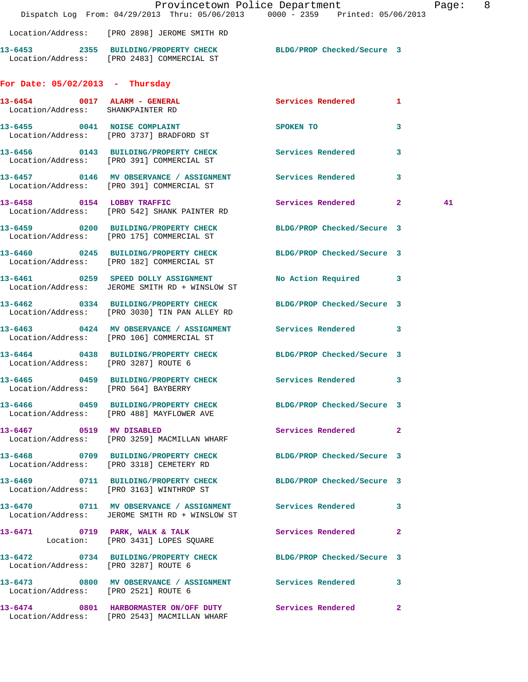|                                                                   | Dispatch Log From: 04/29/2013 Thru: 05/06/2013 0000 - 2359 Printed: 05/06/2013                                | Provincetown Police Department |                         | Page: 8 |  |
|-------------------------------------------------------------------|---------------------------------------------------------------------------------------------------------------|--------------------------------|-------------------------|---------|--|
|                                                                   | Location/Address: [PRO 2898] JEROME SMITH RD                                                                  |                                |                         |         |  |
|                                                                   | 13-6453 2355 BUILDING/PROPERTY CHECK BLDG/PROP Checked/Secure 3<br>Location/Address: [PRO 2483] COMMERCIAL ST |                                |                         |         |  |
| For Date: $05/02/2013$ - Thursday                                 |                                                                                                               |                                |                         |         |  |
| 13-6454 0017 ALARM - GENERAL<br>Location/Address: SHANKPAINTER RD |                                                                                                               | Services Rendered 1            |                         |         |  |
|                                                                   | 13-6455 0041 NOISE COMPLAINT<br>Location/Address: [PRO 3737] BRADFORD ST                                      | SPOKEN TO                      | 3                       |         |  |
|                                                                   | 13-6456 0143 BUILDING/PROPERTY CHECK<br>Location/Address: [PRO 391] COMMERCIAL ST                             | Services Rendered 3            |                         |         |  |
|                                                                   | 13-6457 0146 MV OBSERVANCE / ASSIGNMENT Services Rendered<br>Location/Address: [PRO 391] COMMERCIAL ST        |                                | $\overline{\mathbf{3}}$ |         |  |
| 13-6458 0154 LOBBY TRAFFIC                                        | Location/Address: [PRO 542] SHANK PAINTER RD                                                                  | Services Rendered 2            |                         | 41      |  |
|                                                                   | 13-6459 0200 BUILDING/PROPERTY CHECK<br>Location/Address: [PRO 175] COMMERCIAL ST                             | BLDG/PROP Checked/Secure 3     |                         |         |  |
|                                                                   | 13-6460 0245 BUILDING/PROPERTY CHECK BLDG/PROP Checked/Secure 3<br>Location/Address: [PRO 182] COMMERCIAL ST  |                                |                         |         |  |
|                                                                   | 13-6461 0259 SPEED DOLLY ASSIGNMENT<br>Location/Address: JEROME SMITH RD + WINSLOW ST                         | No Action Required 3           |                         |         |  |
|                                                                   | 13-6462 0334 BUILDING/PROPERTY CHECK<br>Location/Address: [PRO 3030] TIN PAN ALLEY RD                         | BLDG/PROP Checked/Secure 3     |                         |         |  |
|                                                                   | 13-6463 0424 MV OBSERVANCE / ASSIGNMENT Services Rendered 3<br>Location/Address: [PRO 106] COMMERCIAL ST      |                                |                         |         |  |
| Location/Address: [PRO 3287] ROUTE 6                              | 13-6464 0438 BUILDING/PROPERTY CHECK BLDG/PROP Checked/Secure 3                                               |                                |                         |         |  |
| Location/Address: [PRO 564] BAYBERRY                              | 13-6465 0459 BUILDING/PROPERTY CHECK Services Rendered 3                                                      |                                |                         |         |  |
|                                                                   | 13-6466 0459 BUILDING/PROPERTY CHECK BLDG/PROP Checked/Secure 3<br>Location/Address: [PRO 488] MAYFLOWER AVE  |                                |                         |         |  |
|                                                                   | 13-6467 0519 MV DISABLED<br>Location/Address: [PRO 3259] MACMILLAN WHARF                                      | Services Rendered 2            |                         |         |  |
|                                                                   | 13-6468 0709 BUILDING/PROPERTY CHECK BLDG/PROP Checked/Secure 3<br>Location/Address: [PRO 3318] CEMETERY RD   |                                |                         |         |  |
|                                                                   | 13-6469 0711 BUILDING/PROPERTY CHECK BLDG/PROP Checked/Secure 3<br>Location/Address: [PRO 3163] WINTHROP ST   |                                |                         |         |  |
|                                                                   | 13-6470 0711 MV OBSERVANCE / ASSIGNMENT Services Rendered 3<br>Location/Address: JEROME SMITH RD + WINSLOW ST |                                |                         |         |  |
|                                                                   | 13-6471 0719 PARK, WALK & TALK<br>Location: [PRO 3431] LOPES SQUARE                                           | Services Rendered 2            |                         |         |  |
| Location/Address: [PRO 3287] ROUTE 6                              | 13-6472 0734 BUILDING/PROPERTY CHECK BLDG/PROP Checked/Secure 3                                               |                                |                         |         |  |
| Location/Address: [PRO 2521] ROUTE 6                              | 13-6473 0800 MV OBSERVANCE / ASSIGNMENT Services Rendered                                                     |                                | $\mathbf{3}$            |         |  |
|                                                                   | 13-6474 0801 HARBORMASTER ON/OFF DUTY Services Rendered<br>Location/Address: [PRO 2543] MACMILLAN WHARF       |                                | $\mathbf{2}$            |         |  |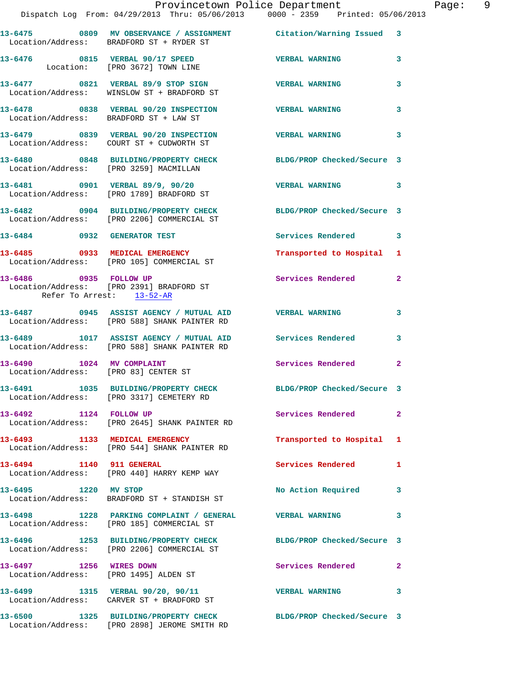|                                                                   |                                                                                                        | Provincetown Police Department                                                 | P            |
|-------------------------------------------------------------------|--------------------------------------------------------------------------------------------------------|--------------------------------------------------------------------------------|--------------|
|                                                                   |                                                                                                        | Dispatch Log From: 04/29/2013 Thru: 05/06/2013 0000 - 2359 Printed: 05/06/2013 |              |
|                                                                   | Location/Address: BRADFORD ST + RYDER ST                                                               | 13-6475 0809 MV OBSERVANCE / ASSIGNMENT Citation/Warning Issued 3              |              |
|                                                                   | Location: [PRO 3672] TOWN LINE                                                                         | 13-6476  0815  VERBAL 90/17 SPEED  VERBAL WARNING                              | 3            |
|                                                                   | 13-6477 0821 VERBAL 89/9 STOP SIGN<br>Location/Address: WINSLOW ST + BRADFORD ST                       | <b>VERBAL WARNING</b>                                                          | 3            |
| Location/Address: BRADFORD ST + LAW ST                            | 13-6478 0838 VERBAL 90/20 INSPECTION VERBAL WARNING                                                    |                                                                                | 3            |
|                                                                   | 13-6479 0839 VERBAL 90/20 INSPECTION<br>Location/Address: COURT ST + CUDWORTH ST                       | <b>VERBAL WARNING</b>                                                          | 3            |
|                                                                   | Location/Address: [PRO 3259] MACMILLAN                                                                 | 13-6480 0848 BUILDING/PROPERTY CHECK BLDG/PROP Checked/Secure 3                |              |
|                                                                   | 13-6481 0901 VERBAL 89/9, 90/20<br>Location/Address: [PRO 1789] BRADFORD ST                            | <b>VERBAL WARNING</b>                                                          | 3            |
|                                                                   | Location/Address: [PRO 2206] COMMERCIAL ST                                                             | 13-6482 0904 BUILDING/PROPERTY CHECK BLDG/PROP Checked/Secure 3                |              |
| 13-6484 0932 GENERATOR TEST                                       |                                                                                                        | Services Rendered 3                                                            |              |
|                                                                   | 13-6485 0933 MEDICAL EMERGENCY<br>Location/Address: [PRO 105] COMMERCIAL ST                            | Transported to Hospital                                                        | 1            |
| Refer To Arrest: 13-52-AR                                         | 13-6486 0935 FOLLOW UP<br>Location/Address: [PRO 2391] BRADFORD ST                                     | <b>Services Rendered</b>                                                       | 2            |
|                                                                   | 13-6487 0945 ASSIST AGENCY / MUTUAL AID VERBAL WARNING<br>Location/Address: [PRO 588] SHANK PAINTER RD |                                                                                | 3            |
|                                                                   | Location/Address: [PRO 588] SHANK PAINTER RD                                                           | 13-6489 1017 ASSIST AGENCY / MUTUAL AID Services Rendered                      | 3            |
| 13-6490 1024 MV COMPLAINT<br>Location/Address: [PRO 83] CENTER ST |                                                                                                        | <b>Services Rendered</b>                                                       | $\mathbf{2}$ |
|                                                                   | 13-6491 1035 BUILDING/PROPERTY CHECK<br>Location/Address: [PRO 3317] CEMETERY RD                       | BLDG/PROP Checked/Secure 3                                                     |              |
| 13-6492 1124 FOLLOW UP                                            | Location/Address: [PRO 2645] SHANK PAINTER RD                                                          | Services Rendered                                                              | $\mathbf{2}$ |
|                                                                   | 13-6493 1133 MEDICAL EMERGENCY<br>Location/Address: [PRO 544] SHANK PAINTER RD                         | Transported to Hospital 1                                                      |              |
| 13-6494 1140 911 GENERAL                                          | Location/Address: [PRO 440] HARRY KEMP WAY                                                             | <b>Services Rendered</b>                                                       | 1            |
| 13-6495 1220 MV STOP                                              | Location/Address: BRADFORD ST + STANDISH ST                                                            | No Action Required                                                             | 3            |
|                                                                   | 13-6498 1228 PARKING COMPLAINT / GENERAL WERBAL WARNING<br>Location/Address: [PRO 185] COMMERCIAL ST   |                                                                                | 3            |
|                                                                   | Location/Address: [PRO 2206] COMMERCIAL ST                                                             | 13-6496 1253 BUILDING/PROPERTY CHECK BLDG/PROP Checked/Secure 3                |              |
| 13-6497 1256 WIRES DOWN                                           | Location/Address: [PRO 1495] ALDEN ST                                                                  | <b>Services Rendered</b>                                                       | 2            |
|                                                                   | 13-6499 1315 VERBAL 90/20, 90/11<br>Location/Address: CARVER ST + BRADFORD ST                          | <b>VERBAL WARNING</b>                                                          | 3            |
|                                                                   | Location/Address: [PRO 2898] JEROME SMITH RD                                                           | 13-6500 1325 BUILDING/PROPERTY CHECK BLDG/PROP Checked/Secure 3                |              |

Page: 9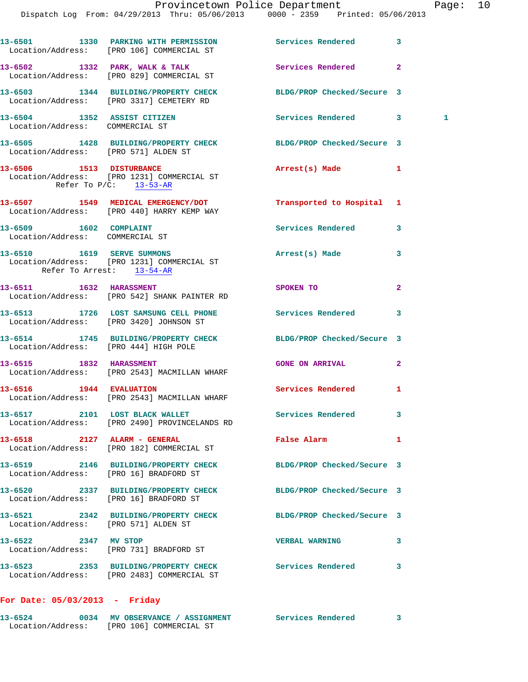|                                                                | 13-6501 1330 PARKING WITH PERMISSION Services Rendered<br>Location/Address: [PRO 106] COMMERCIAL ST         |                            | 3            |              |
|----------------------------------------------------------------|-------------------------------------------------------------------------------------------------------------|----------------------------|--------------|--------------|
|                                                                | 13-6502 1332 PARK, WALK & TALK<br>Location/Address: [PRO 829] COMMERCIAL ST                                 | Services Rendered          | $\mathbf{2}$ |              |
|                                                                | 13-6503 1344 BUILDING/PROPERTY CHECK BLDG/PROP Checked/Secure 3<br>Location/Address: [PRO 3317] CEMETERY RD |                            |              |              |
| 13-6504 1352 ASSIST CITIZEN<br>Location/Address: COMMERCIAL ST |                                                                                                             | Services Rendered 3        |              | $\mathbf{1}$ |
|                                                                | 13-6505 1428 BUILDING/PROPERTY CHECK BLDG/PROP Checked/Secure 3<br>Location/Address: [PRO 571] ALDEN ST     |                            |              |              |
|                                                                | 13-6506 1513 DISTURBANCE<br>Location/Address: [PRO 1231] COMMERCIAL ST<br>Refer To $P/C$ : 13-53-AR         | Arrest(s) Made 1           |              |              |
|                                                                | 13-6507 1549 MEDICAL EMERGENCY/DOT<br>Location/Address: [PRO 440] HARRY KEMP WAY                            | Transported to Hospital 1  |              |              |
| 13-6509 1602 COMPLAINT<br>Location/Address: COMMERCIAL ST      |                                                                                                             | Services Rendered          | 3            |              |
| Refer To Arrest: 13-54-AR                                      | 13-6510 1619 SERVE SUMMONS<br>Location/Address: [PRO 1231] COMMERCIAL ST                                    | Arrest(s) Made             | 3            |              |
|                                                                | 13-6511 1632 HARASSMENT<br>Location/Address: [PRO 542] SHANK PAINTER RD                                     | SPOKEN TO                  | $\mathbf{2}$ |              |
|                                                                | 13-6513 1726 LOST SAMSUNG CELL PHONE Services Rendered<br>Location/Address: [PRO 3420] JOHNSON ST           |                            | 3            |              |
|                                                                | 13-6514 1745 BUILDING/PROPERTY CHECK BLDG/PROP Checked/Secure 3<br>Location/Address: [PRO 444] HIGH POLE    |                            |              |              |
|                                                                | 13-6515 1832 HARASSMENT<br>Location/Address: [PRO 2543] MACMILLAN WHARF                                     | <b>GONE ON ARRIVAL</b>     | $\mathbf{2}$ |              |
|                                                                | 13-6516 1944 EVALUATION<br>Location/Address: [PRO 2543] MACMILLAN WHARF                                     | Services Rendered          | 1            |              |
|                                                                | 13-6517 2101 LOST BLACK WALLET<br>Location/Address: [PRO 2490] PROVINCELANDS RD                             | Services Rendered          | $\mathbf{3}$ |              |
| 13-6518 2127 ALARM - GENERAL                                   | Location/Address: [PRO 182] COMMERCIAL ST                                                                   | False Alarm                | 1            |              |
|                                                                | 13-6519 2146 BUILDING/PROPERTY CHECK<br>Location/Address: [PRO 16] BRADFORD ST                              | BLDG/PROP Checked/Secure 3 |              |              |
|                                                                | 13-6520 2337 BUILDING/PROPERTY CHECK BLDG/PROP Checked/Secure 3<br>Location/Address: [PRO 16] BRADFORD ST   |                            |              |              |
|                                                                | 13-6521 2342 BUILDING/PROPERTY CHECK BLDG/PROP Checked/Secure 3<br>Location/Address: [PRO 571] ALDEN ST     |                            |              |              |
| 13-6522 2347 MV STOP                                           | Location/Address: [PRO 731] BRADFORD ST                                                                     | <b>VERBAL WARNING</b>      | 3            |              |
|                                                                | 13-6523 2353 BUILDING/PROPERTY CHECK<br>Location/Address: [PRO 2483] COMMERCIAL ST                          | Services Rendered          | 3            |              |
|                                                                |                                                                                                             |                            |              |              |

## **For Date: 05/03/2013 - Friday**

| 13-6524           | 0034 MV OBSERVANCE / ASSIGNMENT | Services Rendered |  |
|-------------------|---------------------------------|-------------------|--|
| Location/Address: | [PRO 106] COMMERCIAL ST         |                   |  |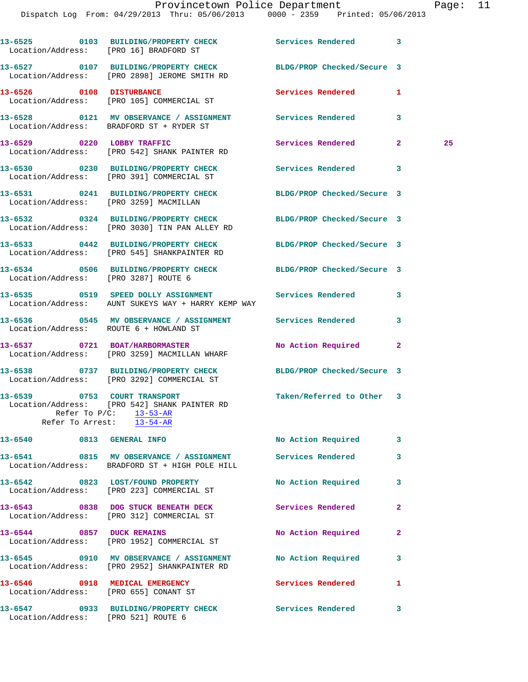## Provincetown Police Department Page: 11

|                                       | 13-6525 0103 BUILDING/PROPERTY CHECK Services Rendered 3<br>Location/Address: [PRO 16] BRADFORD ST                                     |                           |                |    |
|---------------------------------------|----------------------------------------------------------------------------------------------------------------------------------------|---------------------------|----------------|----|
|                                       | 13-6527 0107 BUILDING/PROPERTY CHECK BLDG/PROP Checked/Secure 3<br>Location/Address: [PRO 2898] JEROME SMITH RD                        |                           |                |    |
| 13-6526 0108 DISTURBANCE              | Location/Address: [PRO 105] COMMERCIAL ST                                                                                              | Services Rendered         | 1              |    |
|                                       | 13-6528 0121 MV OBSERVANCE / ASSIGNMENT Services Rendered<br>Location/Address: BRADFORD ST + RYDER ST                                  |                           | 3              |    |
| 13-6529 0220 LOBBY TRAFFIC            | Location/Address: [PRO 542] SHANK PAINTER RD                                                                                           | Services Rendered         | $\mathbf{2}$   | 25 |
|                                       | 13-6530 0230 BUILDING/PROPERTY CHECK<br>Location/Address: [PRO 391] COMMERCIAL ST                                                      | Services Rendered         | 3              |    |
|                                       | 13-6531 0241 BUILDING/PROPERTY CHECK BLDG/PROP Checked/Secure 3<br>Location/Address: [PRO 3259] MACMILLAN                              |                           |                |    |
|                                       | 13-6532 0324 BUILDING/PROPERTY CHECK BLDG/PROP Checked/Secure 3<br>Location/Address: [PRO 3030] TIN PAN ALLEY RD                       |                           |                |    |
|                                       | 13-6533 0442 BUILDING/PROPERTY CHECK BLDG/PROP Checked/Secure 3<br>Location/Address: [PRO 545] SHANKPAINTER RD                         |                           |                |    |
| Location/Address: [PRO 3287] ROUTE 6  | 13-6534 0506 BUILDING/PROPERTY CHECK BLDG/PROP Checked/Secure 3                                                                        |                           |                |    |
|                                       | 13-6535 0519 SPEED DOLLY ASSIGNMENT Services Rendered<br>Location/Address: AUNT SUKEYS WAY + HARRY KEMP WAY                            |                           | 3              |    |
|                                       | 13-6536 0545 MV OBSERVANCE / ASSIGNMENT Services Rendered<br>Location/Address: ROUTE 6 + HOWLAND ST                                    |                           | 3              |    |
|                                       | 13-6537 0721 BOAT/HARBORMASTER<br>Location/Address: [PRO 3259] MACMILLAN WHARF                                                         | No Action Required        | $\mathbf{2}$   |    |
|                                       | 13-6538 0737 BUILDING/PROPERTY CHECK BLDG/PROP Checked/Secure 3<br>Location/Address: [PRO 3292] COMMERCIAL ST                          |                           |                |    |
|                                       | 13-6539 0753 COURT TRANSPORT<br>Location/Address: [PRO 542] SHANK PAINTER RD<br>Refer To $P/C$ : 13-53-AR<br>Refer To Arrest: 13-54-AR | Taken/Referred to Other 3 |                |    |
| 13-6540 0813 GENERAL INFO             |                                                                                                                                        | No Action Required        | 3              |    |
|                                       | 13-6541 0815 MV OBSERVANCE / ASSIGNMENT<br>Location/Address: BRADFORD ST + HIGH POLE HILL                                              | Services Rendered         | 3              |    |
|                                       | 13-6542 0823 LOST/FOUND PROPERTY<br>Location/Address: [PRO 223] COMMERCIAL ST                                                          | No Action Required        | 3              |    |
|                                       | 13-6543 0838 DOG STUCK BENEATH DECK<br>Location/Address: [PRO 312] COMMERCIAL ST                                                       | <b>Services Rendered</b>  | $\mathbf{2}$   |    |
| 13-6544 0857 DUCK REMAINS             | Location/Address: [PRO 1952] COMMERCIAL ST                                                                                             | No Action Required        | $\overline{a}$ |    |
|                                       | 13-6545 0910 MV OBSERVANCE / ASSIGNMENT<br>Location/Address: [PRO 2952] SHANKPAINTER RD                                                | No Action Required        | 3              |    |
| Location/Address: [PRO 655] CONANT ST | 13-6546 0918 MEDICAL EMERGENCY                                                                                                         | Services Rendered         | 1              |    |
| Location/Address: [PRO 521] ROUTE 6   | 13-6547 0933 BUILDING/PROPERTY CHECK                                                                                                   | <b>Services Rendered</b>  | 3              |    |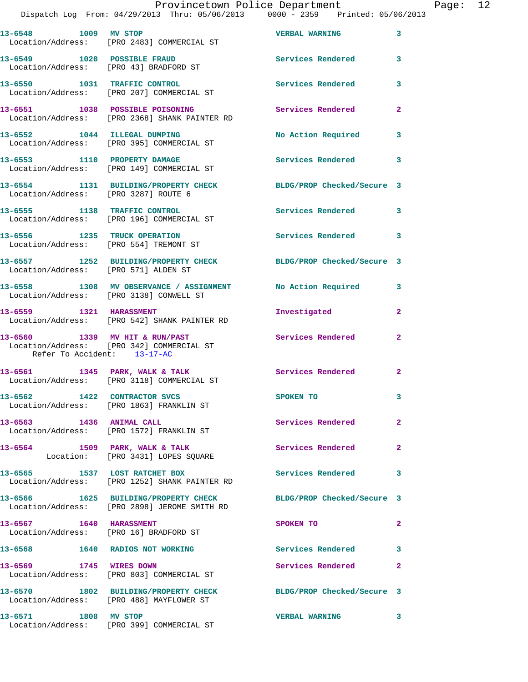## Provincetown Police Department Page: 12

Dispatch Log From: 04/29/2013 Thru: 05/06/2013 0000 - 2359 Printed: 05/06/2013

| 13-6548 1009 MV STOP                 | Location/Address: [PRO 2483] COMMERCIAL ST                                           | <b>VERBAL WARNING</b>      | 3                       |
|--------------------------------------|--------------------------------------------------------------------------------------|----------------------------|-------------------------|
| 13-6549 1020 POSSIBLE FRAUD          | Location/Address: [PRO 43] BRADFORD ST                                               | <b>Services Rendered</b>   | 3                       |
|                                      | 13-6550 1031 TRAFFIC CONTROL<br>Location/Address: [PRO 207] COMMERCIAL ST            | <b>Services Rendered</b>   | 3                       |
|                                      | 13-6551 1038 POSSIBLE POISONING<br>Location/Address: [PRO 2368] SHANK PAINTER RD     | Services Rendered          | $\mathbf{2}$            |
|                                      | 13-6552 1044 ILLEGAL DUMPING<br>Location/Address: [PRO 395] COMMERCIAL ST            | No Action Required 3       |                         |
|                                      | 13-6553 1110 PROPERTY DAMAGE<br>Location/Address: [PRO 149] COMMERCIAL ST            | <b>Services Rendered</b>   | 3                       |
| Location/Address: [PRO 3287] ROUTE 6 | 13-6554 1131 BUILDING/PROPERTY CHECK BLDG/PROP Checked/Secure 3                      |                            |                         |
|                                      | 13-6555 1138 TRAFFIC CONTROL<br>Location/Address: [PRO 196] COMMERCIAL ST            | <b>Services Rendered</b>   | 3                       |
|                                      | 13-6556 1235 TRUCK OPERATION<br>Location/Address: [PRO 554] TREMONT ST               | <b>Services Rendered</b>   | $\overline{\mathbf{3}}$ |
| Location/Address: [PRO 571] ALDEN ST | 13-6557 1252 BUILDING/PROPERTY CHECK BLDG/PROP Checked/Secure 3                      |                            |                         |
|                                      | 13-6558 1308 MV OBSERVANCE / ASSIGNMENT<br>Location/Address: [PRO 3138] CONWELL ST   | No Action Required         | $\overline{\mathbf{3}}$ |
| 13-6559 1321 HARASSMENT              | Location/Address: [PRO 542] SHANK PAINTER RD                                         | Investigated               | $\overline{a}$          |
| Refer To Accident: 13-17-AC          | 13-6560 1339 MV HIT & RUN/PAST<br>Location/Address: [PRO 342] COMMERCIAL ST          | Services Rendered          | $\mathbf{2}$            |
|                                      | 13-6561 1345 PARK, WALK & TALK<br>Location/Address: [PRO 3118] COMMERCIAL ST         | <b>Services Rendered</b>   | $\mathbf{2}$            |
|                                      | 13-6562 1422 CONTRACTOR SVCS<br>Location/Address: [PRO 1863] FRANKLIN ST             | SPOKEN TO                  | 3                       |
| 13-6563 1436 ANIMAL CALL             | Location/Address: [PRO 1572] FRANKLIN ST                                             | Services Rendered          | $\mathbf{2}$            |
|                                      | 13-6564 1509 PARK, WALK & TALK<br>Location: [PRO 3431] LOPES SQUARE                  | Services Rendered          | $\mathbf{2}$            |
| 13-6565 1537 LOST RATCHET BOX        | Location/Address: [PRO 1252] SHANK PAINTER RD                                        | Services Rendered          | 3                       |
|                                      | 13-6566 1625 BUILDING/PROPERTY CHECK<br>Location/Address: [PRO 2898] JEROME SMITH RD | BLDG/PROP Checked/Secure 3 |                         |
| 13-6567 1640 HARASSMENT              | Location/Address: [PRO 16] BRADFORD ST                                               | SPOKEN TO                  | $\mathbf{2}$            |
|                                      | 13-6568 1640 RADIOS NOT WORKING                                                      | <b>Services Rendered</b>   | $\mathbf{3}$            |
| 13-6569 1745 WIRES DOWN              | Location/Address: [PRO 803] COMMERCIAL ST                                            | Services Rendered          | $\mathbf{2}$            |
|                                      | 13-6570 1802 BUILDING/PROPERTY CHECK<br>Location/Address: [PRO 488] MAYFLOWER ST     | BLDG/PROP Checked/Secure 3 |                         |
| 13-6571 1808 MV STOP                 | Location/Address: [PRO 399] COMMERCIAL ST                                            | <b>VERBAL WARNING</b>      | 3                       |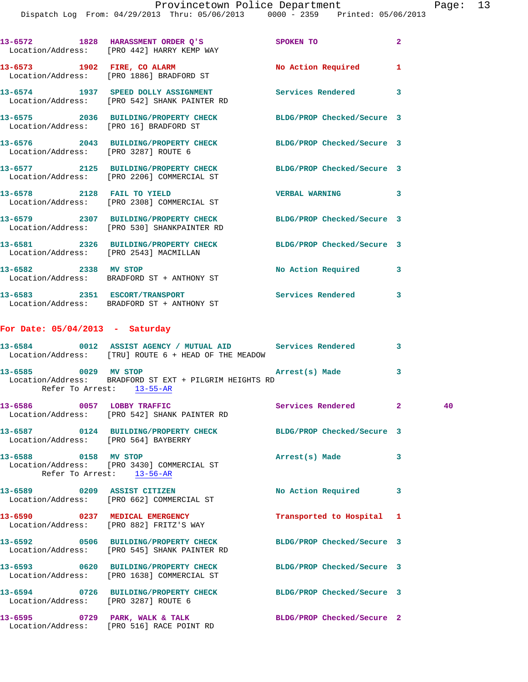|                                        | 13-6572 1828 HARASSMENT ORDER Q'S<br>Location/Address: [PRO 442] HARRY KEMP WAY                                | SPOKEN TO                         | $\overline{2}$          |
|----------------------------------------|----------------------------------------------------------------------------------------------------------------|-----------------------------------|-------------------------|
| 13-6573 1902 FIRE, CO ALARM            | Location/Address: [PRO 1886] BRADFORD ST                                                                       | No Action Required 1              |                         |
|                                        | 13-6574 1937 SPEED DOLLY ASSIGNMENT<br>Location/Address: [PRO 542] SHANK PAINTER RD                            | Services Rendered 3               |                         |
| Location/Address: [PRO 16] BRADFORD ST | 13-6575 2036 BUILDING/PROPERTY CHECK BLDG/PROP Checked/Secure 3                                                |                                   |                         |
| Location/Address: [PRO 3287] ROUTE 6   | 13-6576 2043 BUILDING/PROPERTY CHECK                                                                           | BLDG/PROP Checked/Secure 3        |                         |
|                                        | 13-6577 2125 BUILDING/PROPERTY CHECK BLDG/PROP Checked/Secure 3<br>Location/Address: [PRO 2206] COMMERCIAL ST  |                                   |                         |
|                                        | 13-6578 2128 FAIL TO YIELD<br>Location/Address: [PRO 2308] COMMERCIAL ST                                       | $\sim$ 3<br><b>VERBAL WARNING</b> |                         |
|                                        | 13-6579 2307 BUILDING/PROPERTY CHECK BLDG/PROP Checked/Secure 3<br>Location/Address: [PRO 530] SHANKPAINTER RD |                                   |                         |
| Location/Address: [PRO 2543] MACMILLAN | 13-6581 2326 BUILDING/PROPERTY CHECK BLDG/PROP Checked/Secure 3                                                |                                   |                         |
| 13-6582 2338 MV STOP                   | Location/Address: BRADFORD ST + ANTHONY ST                                                                     | No Action Required                | 3                       |
|                                        | 13-6583 2351 ESCORT/TRANSPORT<br>Location/Address: BRADFORD ST + ANTHONY ST                                    | <b>Services Rendered</b>          | $\overline{\mathbf{3}}$ |

## **For Date: 05/04/2013 - Saturday**

|                                      | 13-6584 0012 ASSIST AGENCY / MUTUAL AID Services Rendered<br>Location/Address: [TRU] ROUTE 6 + HEAD OF THE MEADOW |                           | $\overline{\mathbf{3}}$ |
|--------------------------------------|-------------------------------------------------------------------------------------------------------------------|---------------------------|-------------------------|
| Refer To Arrest: 13-55-AR            | Location/Address: BRADFORD ST EXT + PILGRIM HEIGHTS RD                                                            |                           | $\overline{\mathbf{3}}$ |
|                                      | 13-6586 0057 LOBBY TRAFFIC Services Rendered 2<br>Location/Address: [PRO 542] SHANK PAINTER RD                    |                           | 40                      |
| Location/Address: [PRO 564] BAYBERRY | 13-6587 0124 BUILDING/PROPERTY CHECK BLDG/PROP Checked/Secure 3                                                   |                           |                         |
| Refer To Arrest: 13-56-AR            | 13-6588 0158 MV STOP 2008 20158 2020<br>Location/Address: [PRO 3430] COMMERCIAL ST                                |                           | $\mathbf{3}$            |
| 13-6589 0209 ASSIST CITIZEN          | Location/Address: [PRO 662] COMMERCIAL ST                                                                         | No Action Required 3      |                         |
|                                      | 13-6590 0237 MEDICAL EMERGENCY<br>Location/Address: [PRO 882] FRITZ'S WAY                                         | Transported to Hospital 1 |                         |
|                                      | 13-6592 0506 BUILDING/PROPERTY CHECK BLDG/PROP Checked/Secure 3<br>Location/Address: [PRO 545] SHANK PAINTER RD   |                           |                         |
|                                      | 13-6593 0620 BUILDING/PROPERTY CHECK BLDG/PROP Checked/Secure 3<br>Location/Address: [PRO 1638] COMMERCIAL ST     |                           |                         |
| Location/Address: [PRO 3287] ROUTE 6 | 13-6594 0726 BUILDING/PROPERTY CHECK BLDG/PROP Checked/Secure 3                                                   |                           |                         |
|                                      | 13-6595 0729 PARK, WALK & TALK 6 BLDG/PROP Checked/Secure 2<br>Location/Address: [PRO 516] RACE POINT RD          |                           |                         |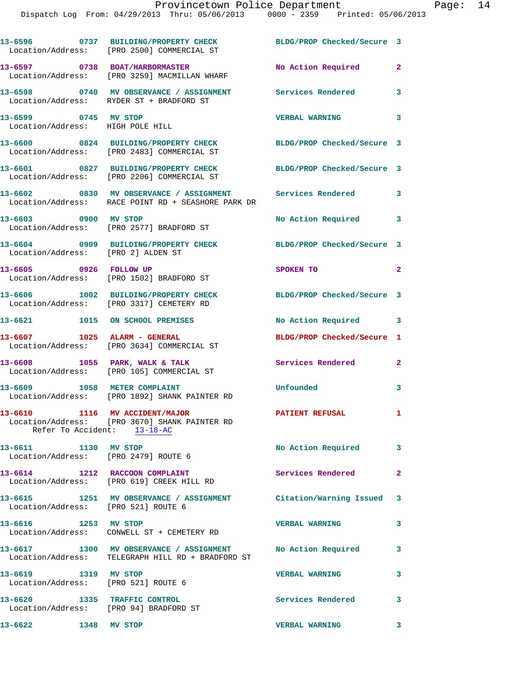|                                                                        | 13-6596 0737 BUILDING/PROPERTY CHECK<br>Location/Address: [PRO 2500] COMMERCIAL ST                              | BLDG/PROP Checked/Secure 3 |              |
|------------------------------------------------------------------------|-----------------------------------------------------------------------------------------------------------------|----------------------------|--------------|
|                                                                        | 13-6597 0738 BOAT/HARBORMASTER<br>Location/Address: [PRO 3259] MACMILLAN WHARF                                  | No Action Required         | $\mathbf{2}$ |
|                                                                        | 13-6598 0740 MV OBSERVANCE / ASSIGNMENT<br>Location/Address: RYDER ST + BRADFORD ST                             | Services Rendered          | 3            |
| 13-6599 0745 MV STOP<br>Location/Address: HIGH POLE HILL               |                                                                                                                 | <b>VERBAL WARNING</b>      | 3            |
|                                                                        | 13-6600 0824 BUILDING/PROPERTY CHECK<br>Location/Address: [PRO 2483] COMMERCIAL ST                              | BLDG/PROP Checked/Secure 3 |              |
|                                                                        | 13-6601 0827 BUILDING/PROPERTY CHECK<br>Location/Address: [PRO 2206] COMMERCIAL ST                              | BLDG/PROP Checked/Secure 3 |              |
|                                                                        | 13-6602 0830 MV OBSERVANCE / ASSIGNMENT<br>Location/Address: RACE POINT RD + SEASHORE PARK DR                   | <b>Services Rendered</b> 3 |              |
| 13-6603 0900 MV STOP                                                   | Location/Address: [PRO 2577] BRADFORD ST                                                                        | No Action Required         | 3            |
| Location/Address: [PRO 2] ALDEN ST                                     | 13-6604 0909 BUILDING/PROPERTY CHECK                                                                            | BLDG/PROP Checked/Secure 3 |              |
| 13-6605 0926 FOLLOW UP                                                 | Location/Address: [PRO 1502] BRADFORD ST                                                                        | SPOKEN TO                  | $\mathbf{2}$ |
|                                                                        | 13-6606 1002 BUILDING/PROPERTY CHECK<br>Location/Address: [PRO 3317] CEMETERY RD                                | BLDG/PROP Checked/Secure 3 |              |
|                                                                        | 13-6621 1015 ON SCHOOL PREMISES                                                                                 | No Action Required 3       |              |
| 13-6607 1025 ALARM - GENERAL                                           | Location/Address: [PRO 3634] COMMERCIAL ST                                                                      | BLDG/PROP Checked/Secure 1 |              |
|                                                                        | 13-6608 1055 PARK, WALK & TALK<br>Location/Address: [PRO 105] COMMERCIAL ST                                     | Services Rendered          | $\mathbf{2}$ |
| 13-6609 1058 METER COMPLAINT                                           | Location/Address: [PRO 1892] SHANK PAINTER RD                                                                   | Unfounded                  | 3            |
| 13-6610<br>Refer To Accident: 13-18-AC                                 | 1116 MV ACCIDENT/MAJOR<br>Location/Address: [PRO 3670] SHANK PAINTER RD                                         | PATIENT REFUSAL            | 1            |
| 13-6611 1130 MV STOP                                                   | Location/Address: [PRO 2479] ROUTE 6                                                                            | No Action Required         | $\mathbf{3}$ |
|                                                                        | 13-6614 1212 RACCOON COMPLAINT<br>Location/Address: [PRO 619] CREEK HILL RD                                     | <b>Services Rendered</b>   | $\mathbf{2}$ |
| Location/Address: [PRO 521] ROUTE 6                                    | 13-6615 1251 MV OBSERVANCE / ASSIGNMENT Citation/Warning Issued 3                                               |                            |              |
| 13-6616 1253 MV STOP                                                   | Location/Address: CONWELL ST + CEMETERY RD                                                                      | <b>VERBAL WARNING</b>      | 3            |
|                                                                        | 13-6617 1300 MV OBSERVANCE / ASSIGNMENT No Action Required<br>Location/Address: TELEGRAPH HILL RD + BRADFORD ST |                            | 3            |
| 13-6619 1319 MV STOP<br>Location/Address: [PRO 521] ROUTE 6            |                                                                                                                 | <b>VERBAL WARNING</b>      | 3            |
| 13-6620 1335 TRAFFIC CONTROL<br>Location/Address: [PRO 94] BRADFORD ST |                                                                                                                 | Services Rendered          | 3            |
| 13-6622<br>1348 MV STOP                                                |                                                                                                                 | <b>VERBAL WARNING</b>      | 3            |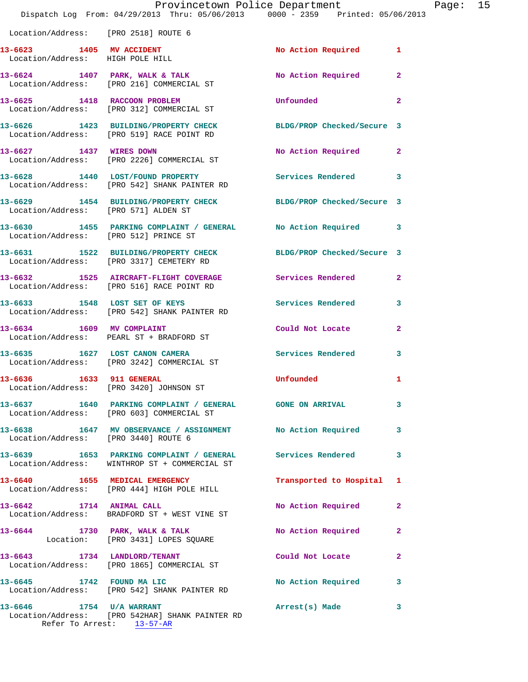|                                                              | Provincetown Police Department<br>Dispatch Log From: 04/29/2013 Thru: 05/06/2013 0000 - 2359 Printed: 05/06/2013 |                            |                |
|--------------------------------------------------------------|------------------------------------------------------------------------------------------------------------------|----------------------------|----------------|
| Location/Address: [PRO 2518] ROUTE 6                         |                                                                                                                  |                            |                |
| 13-6623 1405 MV ACCIDENT<br>Location/Address: HIGH POLE HILL |                                                                                                                  | <b>No Action Required</b>  | 1              |
|                                                              | 13-6624 1407 PARK, WALK & TALK<br>Location/Address: [PRO 216] COMMERCIAL ST                                      | No Action Required         | $\mathbf{2}$   |
|                                                              | 13-6625 1418 RACCOON PROBLEM<br>Location/Address: [PRO 312] COMMERCIAL ST                                        | Unfounded                  | $\mathbf{2}$   |
|                                                              | 13-6626 1423 BUILDING/PROPERTY CHECK<br>Location/Address: [PRO 519] RACE POINT RD                                | BLDG/PROP Checked/Secure 3 |                |
|                                                              | 13-6627 1437 WIRES DOWN<br>Location/Address: [PRO 2226] COMMERCIAL ST                                            | No Action Required         | $\mathbf{2}$   |
|                                                              | 13-6628 1440 LOST/FOUND PROPERTY<br>Location/Address: [PRO 542] SHANK PAINTER RD                                 | <b>Services Rendered</b>   | 3              |
| Location/Address: [PRO 571] ALDEN ST                         | 13-6629 1454 BUILDING/PROPERTY CHECK                                                                             | BLDG/PROP Checked/Secure 3 |                |
| Location/Address: [PRO 512] PRINCE ST                        | 13-6630 1455 PARKING COMPLAINT / GENERAL No Action Required                                                      |                            | 3              |
|                                                              | 13-6631 1522 BUILDING/PROPERTY CHECK<br>Location/Address: [PRO 3317] CEMETERY RD                                 | BLDG/PROP Checked/Secure 3 |                |
|                                                              | 13-6632 1525 AIRCRAFT-FLIGHT COVERAGE<br>Location/Address: [PRO 516] RACE POINT RD                               | Services Rendered          | $\mathbf{2}$   |
|                                                              | 13-6633 1548 LOST SET OF KEYS<br>Location/Address: [PRO 542] SHANK PAINTER RD                                    | <b>Services Rendered</b>   | 3              |
|                                                              | 13-6634 1609 MV COMPLAINT<br>Location/Address: PEARL ST + BRADFORD ST                                            | Could Not Locate           | $\mathbf{2}$   |
| 13-6635 1627 LOST CANON CAMERA                               | Location/Address: [PRO 3242] COMMERCIAL ST                                                                       | <b>Services Rendered</b>   | 3              |
| 13-6636 1633 911 GENERAL                                     | Location/Address: [PRO 3420] JOHNSON ST                                                                          | Unfounded                  | ı              |
|                                                              | 13-6637 1640 PARKING COMPLAINT / GENERAL GONE ON ARRIVAL<br>Location/Address: [PRO 603] COMMERCIAL ST            |                            | 3              |
|                                                              | 13-6638 1647 MV OBSERVANCE / ASSIGNMENT No Action Required<br>Location/Address: [PRO 3440] ROUTE 6               |                            | 3              |
|                                                              | 13-6639 1653 PARKING COMPLAINT / GENERAL<br>Location/Address: WINTHROP ST + COMMERCIAL ST                        | <b>Services Rendered</b>   | 3              |
|                                                              | 13-6640 1655 MEDICAL EMERGENCY<br>Location/Address: [PRO 444] HIGH POLE HILL                                     | Transported to Hospital    | 1              |
| 13-6642 1714 ANIMAL CALL                                     | Location/Address: BRADFORD ST + WEST VINE ST                                                                     | No Action Required         | $\mathbf{2}$   |
|                                                              | 13-6644 1730 PARK, WALK & TALK<br>Location: [PRO 3431] LOPES SQUARE                                              | No Action Required         | 2              |
| 13-6643 1734 LANDLORD/TENANT                                 | Location/Address: [PRO 1865] COMMERCIAL ST                                                                       | Could Not Locate           | $\overline{a}$ |
|                                                              | 13-6645 1742 FOUND MA LIC<br>Location/Address: [PRO 542] SHANK PAINTER RD                                        | No Action Required         | 3              |
| 13-6646 1754 U/A WARRANT                                     | Location/Address: [PRO 542HAR] SHANK PAINTER RD                                                                  | Arrest(s) Made             | 3              |

Refer To Arrest: 13-57-AR

Page: 15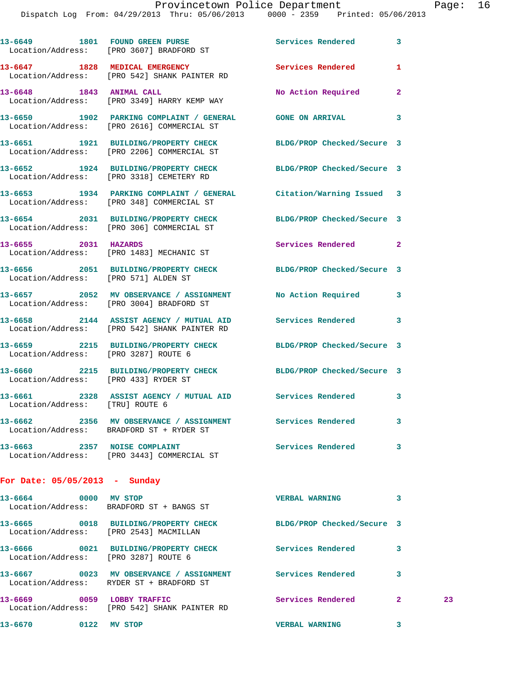|                                        | 13-6649 1801 FOUND GREEN PURSE<br>Location/Address: [PRO 3607] BRADFORD ST                                      | Services Rendered        | 3            |    |
|----------------------------------------|-----------------------------------------------------------------------------------------------------------------|--------------------------|--------------|----|
|                                        | 13-6647 1828 MEDICAL EMERGENCY<br>Location/Address: [PRO 542] SHANK PAINTER RD                                  | Services Rendered        | $\mathbf{1}$ |    |
|                                        | 13-6648 1843 ANIMAL CALL<br>Location/Address: [PRO 3349] HARRY KEMP WAY                                         | No Action Required       | $\mathbf{2}$ |    |
|                                        | 13-6650 1902 PARKING COMPLAINT / GENERAL GONE ON ARRIVAL 3<br>Location/Address: [PRO 2616] COMMERCIAL ST        |                          |              |    |
|                                        | 13-6651 1921 BUILDING/PROPERTY CHECK BLDG/PROP Checked/Secure 3<br>Location/Address: [PRO 2206] COMMERCIAL ST   |                          |              |    |
|                                        | 13-6652 1924 BUILDING/PROPERTY CHECK BLDG/PROP Checked/Secure 3<br>Location/Address: [PRO 3318] CEMETERY RD     |                          |              |    |
|                                        | 13-6653 1934 PARKING COMPLAINT / GENERAL Citation/Warning Issued 3<br>Location/Address: [PRO 348] COMMERCIAL ST |                          |              |    |
|                                        | 13-6654 2031 BUILDING/PROPERTY CHECK BLDG/PROP Checked/Secure 3<br>Location/Address: [PRO 306] COMMERCIAL ST    |                          |              |    |
| 13-6655 2031 HAZARDS                   | Location/Address: [PRO 1483] MECHANIC ST                                                                        | Services Rendered 2      |              |    |
| Location/Address: [PRO 571] ALDEN ST   | 13-6656 2051 BUILDING/PROPERTY CHECK BLDG/PROP Checked/Secure 3                                                 |                          |              |    |
|                                        | 13-6657 2052 MV OBSERVANCE / ASSIGNMENT No Action Required 3<br>Location/Address: [PRO 3004] BRADFORD ST        |                          |              |    |
|                                        | 13-6658 2144 ASSIST AGENCY / MUTUAL AID Services Rendered<br>Location/Address: [PRO 542] SHANK PAINTER RD       |                          | 3            |    |
| Location/Address: [PRO 3287] ROUTE 6   | 13-6659 2215 BUILDING/PROPERTY CHECK BLDG/PROP Checked/Secure 3                                                 |                          |              |    |
| Location/Address: [PRO 433] RYDER ST   | 13-6660 2215 BUILDING/PROPERTY CHECK BLDG/PROP Checked/Secure 3                                                 |                          |              |    |
| Location/Address: [TRU] ROUTE 6        | 13-6661 2328 ASSIST AGENCY / MUTUAL AID Services Rendered 3                                                     |                          |              |    |
| 13-6662                                | 2356 MV OBSERVANCE / ASSIGNMENT<br>Location/Address: BRADFORD ST + RYDER ST                                     | <b>Services Rendered</b> | 3            |    |
|                                        | 13-6663 2357 NOISE COMPLAINT<br>Location/Address: [PRO 3443] COMMERCIAL ST                                      | Services Rendered 3      |              |    |
| For Date: $05/05/2013$ - Sunday        |                                                                                                                 |                          |              |    |
|                                        | 13-6664 0000 MV STOP<br>Location/Address: BRADFORD ST + BANGS ST                                                | <b>VERBAL WARNING</b>    | 3            |    |
| Location/Address: [PRO 2543] MACMILLAN | 13-6665 0018 BUILDING/PROPERTY CHECK BLDG/PROP Checked/Secure 3                                                 |                          |              |    |
| Location/Address: [PRO 3287] ROUTE 6   | 13-6666 0021 BUILDING/PROPERTY CHECK                                                                            | Services Rendered        | 3            |    |
|                                        | 13-6667 6023 MV OBSERVANCE / ASSIGNMENT Services Rendered<br>Location/Address: RYDER ST + BRADFORD ST           |                          | 3            |    |
| 13-6669 0059 LOBBY TRAFFIC             | Location/Address: [PRO 542] SHANK PAINTER RD                                                                    | Services Rendered        | $\mathbf{2}$ | 23 |
| 13-6670 0122 MV STOP                   |                                                                                                                 | <b>VERBAL WARNING</b>    | 3            |    |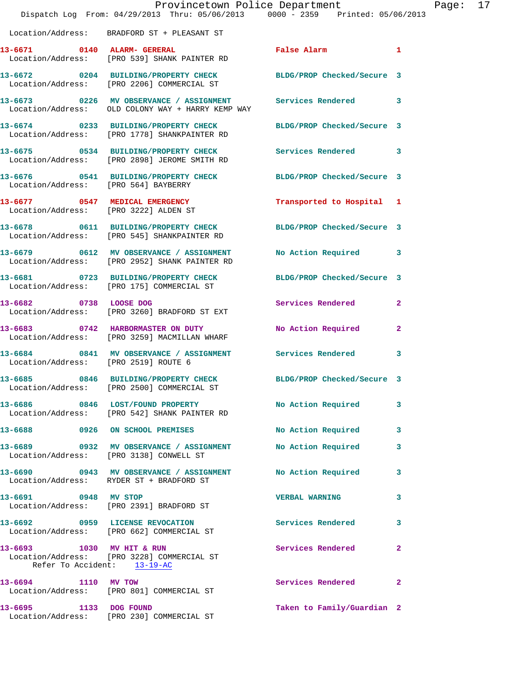|                                      | Provincetown Police Department<br>Dispatch Log From: $04/29/2013$ Thru: $05/06/2013$ 0000 - 2359 Printed: 05/06/2013 |                            |              | Page: 17 |  |
|--------------------------------------|----------------------------------------------------------------------------------------------------------------------|----------------------------|--------------|----------|--|
|                                      | Location/Address: BRADFORD ST + PLEASANT ST                                                                          |                            |              |          |  |
|                                      | 13-6671 0140 ALARM- GERERAL<br>Location/Address: [PRO 539] SHANK PAINTER RD                                          | False Alarm                | $\mathbf{1}$ |          |  |
|                                      | 13-6672 0204 BUILDING/PROPERTY CHECK BLDG/PROP Checked/Secure 3<br>Location/Address: [PRO 2206] COMMERCIAL ST        |                            |              |          |  |
|                                      | 13-6673 0226 MV OBSERVANCE / ASSIGNMENT Services Rendered 3<br>Location/Address: OLD COLONY WAY + HARRY KEMP WAY     |                            |              |          |  |
|                                      | 13-6674 0233 BUILDING/PROPERTY CHECK BLDG/PROP Checked/Secure 3<br>Location/Address: [PRO 1778] SHANKPAINTER RD      |                            |              |          |  |
|                                      | 13-6675 0534 BUILDING/PROPERTY CHECK<br>Location/Address: [PRO 2898] JEROME SMITH RD                                 | Services Rendered 3        |              |          |  |
| Location/Address: [PRO 564] BAYBERRY | 13-6676 0541 BUILDING/PROPERTY CHECK BLDG/PROP Checked/Secure 3                                                      |                            |              |          |  |
|                                      | 13-6677 0547 MEDICAL EMERGENCY<br>Location/Address: [PRO 3222] ALDEN ST                                              | Transported to Hospital 1  |              |          |  |
|                                      | 13-6678 0611 BUILDING/PROPERTY CHECK BLDG/PROP Checked/Secure 3<br>Location/Address: [PRO 545] SHANKPAINTER RD       |                            |              |          |  |
|                                      | 13-6679 0612 MV OBSERVANCE / ASSIGNMENT<br>Location/Address: [PRO 2952] SHANK PAINTER RD                             | No Action Required 3       |              |          |  |
|                                      | 13-6681 0723 BUILDING/PROPERTY CHECK BLDG/PROP Checked/Secure 3<br>Location/Address: [PRO 175] COMMERCIAL ST         |                            |              |          |  |
|                                      | 13-6682 0738 LOOSE DOG<br>Location/Address: [PRO 3260] BRADFORD ST EXT                                               | Services Rendered 2        |              |          |  |
|                                      | 13-6683 0742 HARBORMASTER ON DUTY<br>Location/Address: [PRO 3259] MACMILLAN WHARF                                    | No Action Required         | $\mathbf{2}$ |          |  |
| Location/Address: [PRO 2519] ROUTE 6 | 13-6684 0841 MV OBSERVANCE / ASSIGNMENT Services Rendered 3                                                          |                            |              |          |  |
|                                      | 13-6685 0846 BUILDING/PROPERTY CHECK BLDG/PROP Checked/Secure 3<br>Location/Address: [PRO 2500] COMMERCIAL ST        |                            |              |          |  |
|                                      | 13-6686 0846 LOST/FOUND PROPERTY<br>Location/Address: [PRO 542] SHANK PAINTER RD                                     | No Action Required         | 3            |          |  |
|                                      | 13-6688 0926 ON SCHOOL PREMISES                                                                                      | No Action Required         | 3            |          |  |
|                                      | 13-6689 0932 MV OBSERVANCE / ASSIGNMENT<br>Location/Address: [PRO 3138] CONWELL ST                                   | No Action Required         | 3            |          |  |
|                                      | 13-6690 0943 MV OBSERVANCE / ASSIGNMENT<br>Location/Address: RYDER ST + BRADFORD ST                                  | <b>No Action Required</b>  | 3            |          |  |
| 13-6691 0948 MV STOP                 | Location/Address: [PRO 2391] BRADFORD ST                                                                             | <b>VERBAL WARNING</b>      | 3            |          |  |
|                                      | 13-6692 0959 LICENSE REVOCATION<br>Location/Address: [PRO 662] COMMERCIAL ST                                         | Services Rendered          | 3            |          |  |
| 13-6693 1030 MV HIT & RUN            | Location/Address: [PRO 3228] COMMERCIAL ST<br>Refer To Accident: 13-19-AC                                            | Services Rendered          | 2            |          |  |
| 13-6694 1110 MV TOW                  | Location/Address: [PRO 801] COMMERCIAL ST                                                                            | Services Rendered          | 2            |          |  |
|                                      | 13-6695 1133 DOG FOUND<br>Location/Address: [PRO 230] COMMERCIAL ST                                                  | Taken to Family/Guardian 2 |              |          |  |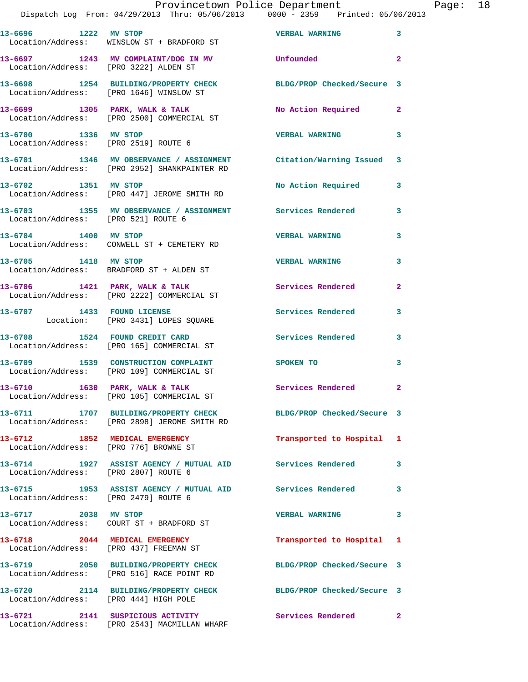| 13-6696 1222 MV STOP                                                    | Location/Address: WINSLOW ST + BRADFORD ST                                                                        | <b>VERBAL WARNING</b>      | 3                          |
|-------------------------------------------------------------------------|-------------------------------------------------------------------------------------------------------------------|----------------------------|----------------------------|
| Location/Address: [PRO 3222] ALDEN ST                                   | 13-6697 1243 MV COMPLAINT/DOG IN MV                                                                               | Unfounded                  | $\overline{\mathbf{2}}$    |
|                                                                         | 13-6698 1254 BUILDING/PROPERTY CHECK<br>Location/Address: [PRO 1646] WINSLOW ST                                   | BLDG/PROP Checked/Secure 3 |                            |
|                                                                         | 13-6699 1305 PARK, WALK & TALK<br>Location/Address: [PRO 2500] COMMERCIAL ST                                      | No Action Required 2       |                            |
| 13-6700 1336 MV STOP<br>Location/Address: [PRO 2519] ROUTE 6            |                                                                                                                   | <b>VERBAL WARNING</b>      | 3                          |
|                                                                         | 13-6701 1346 MV OBSERVANCE / ASSIGNMENT Citation/Warning Issued 3<br>Location/Address: [PRO 2952] SHANKPAINTER RD |                            |                            |
| 13-6702 1351 MV STOP                                                    | Location/Address: [PRO 447] JEROME SMITH RD                                                                       | No Action Required         | 3                          |
| Location/Address: [PRO 521] ROUTE 6                                     | 13-6703 1355 MV OBSERVANCE / ASSIGNMENT Services Rendered                                                         |                            | 3                          |
| 13-6704 1400 MV STOP                                                    | Location/Address: CONWELL ST + CEMETERY RD                                                                        | <b>VERBAL WARNING</b>      | 3                          |
| 13-6705 1418 MV STOP                                                    | Location/Address: BRADFORD ST + ALDEN ST                                                                          | <b>VERBAL WARNING</b>      | 3                          |
|                                                                         | 13-6706 1421 PARK, WALK & TALK<br>Location/Address: [PRO 2222] COMMERCIAL ST                                      | <b>Services Rendered</b>   | $\mathbf{2}$               |
|                                                                         | 13-6707 1433 FOUND LICENSE<br>Location: [PRO 3431] LOPES SQUARE                                                   | <b>Services Rendered</b>   | 3                          |
|                                                                         | 13-6708 1524 FOUND CREDIT CARD<br>Location/Address: [PRO 165] COMMERCIAL ST                                       | <b>Services Rendered</b>   | $\overline{\phantom{a}}$ 3 |
|                                                                         | 13-6709 1539 CONSTRUCTION COMPLAINT<br>Location/Address: [PRO 109] COMMERCIAL ST                                  | SPOKEN TO                  | 3                          |
|                                                                         | 13-6710 1630 PARK, WALK & TALK<br>Location/Address: [PRO 105] COMMERCIAL ST                                       | <b>Services Rendered</b> 2 |                            |
|                                                                         | Location/Address: [PRO 2898] JEROME SMITH RD                                                                      | BLDG/PROP Checked/Secure 3 |                            |
| 13-6712 1852 MEDICAL EMERGENCY<br>Location/Address: [PRO 776] BROWNE ST |                                                                                                                   | Transported to Hospital 1  |                            |
| Location/Address: [PRO 2807] ROUTE 6                                    | 13-6714 1927 ASSIST AGENCY / MUTUAL AID Services Rendered 3                                                       |                            |                            |
| Location/Address: [PRO 2479] ROUTE 6                                    |                                                                                                                   |                            | $\overline{\phantom{a}}$ 3 |
| 13-6717 2038 MV STOP                                                    | Location/Address: COURT ST + BRADFORD ST                                                                          | <b>VERBAL WARNING</b>      | $\overline{\mathbf{3}}$    |
|                                                                         | 13-6718 2044 MEDICAL EMERGENCY<br>Location/Address: [PRO 437] FREEMAN ST                                          | Transported to Hospital 1  |                            |
|                                                                         | 13-6719 2050 BUILDING/PROPERTY CHECK<br>Location/Address: [PRO 516] RACE POINT RD                                 | BLDG/PROP Checked/Secure 3 |                            |
| Location/Address: [PRO 444] HIGH POLE                                   | 13-6720 2114 BUILDING/PROPERTY CHECK                                                                              | BLDG/PROP Checked/Secure 3 |                            |
|                                                                         | 13-6721 2141 SUSPICIOUS ACTIVITY<br>Location/Address: [PRO 2543] MACMILLAN WHARF                                  | Services Rendered 2        |                            |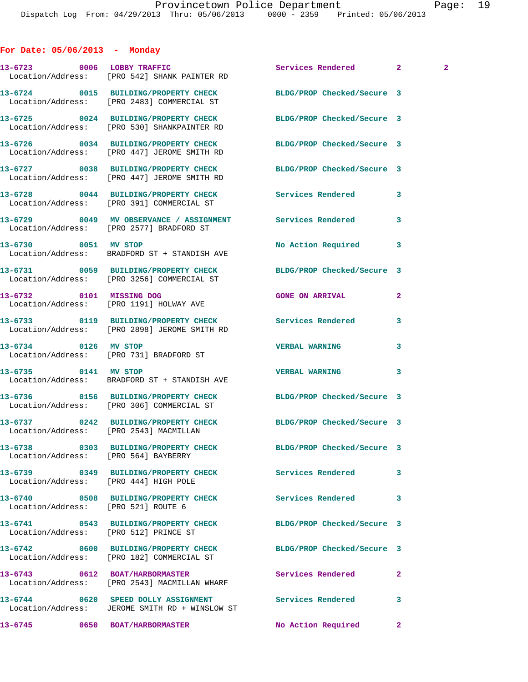|  |  | For Date: 05/06/2013 |  | Monday |
|--|--|----------------------|--|--------|
|--|--|----------------------|--|--------|

|                                       | 13-6723 0006 LOBBY TRAFFIC<br>Location/Address: [PRO 542] SHANK PAINTER RD                                     | Services Rendered 2        |              | $\mathbf{2}$ |
|---------------------------------------|----------------------------------------------------------------------------------------------------------------|----------------------------|--------------|--------------|
|                                       | 13-6724 0015 BUILDING/PROPERTY CHECK BLDG/PROP Checked/Secure 3<br>Location/Address: [PRO 2483] COMMERCIAL ST  |                            |              |              |
|                                       | 13-6725 0024 BUILDING/PROPERTY CHECK BLDG/PROP Checked/Secure 3<br>Location/Address: [PRO 530] SHANKPAINTER RD |                            |              |              |
|                                       | 13-6726 0034 BUILDING/PROPERTY CHECK BLDG/PROP Checked/Secure 3<br>Location/Address: [PRO 447] JEROME SMITH RD |                            |              |              |
|                                       | 13-6727 0038 BUILDING/PROPERTY CHECK BLDG/PROP Checked/Secure 3<br>Location/Address: [PRO 447] JEROME SMITH RD |                            |              |              |
|                                       | 13-6728 0044 BUILDING/PROPERTY CHECK<br>Location/Address: [PRO 391] COMMERCIAL ST                              | Services Rendered          | 3            |              |
|                                       | 13-6729 0049 MV OBSERVANCE / ASSIGNMENT Services Rendered<br>Location/Address: [PRO 2577] BRADFORD ST          |                            | 3            |              |
|                                       | 13-6730 0051 MV STOP<br>Location/Address: BRADFORD ST + STANDISH AVE                                           | No Action Required         | 3            |              |
|                                       | 13-6731 0059 BUILDING/PROPERTY CHECK BLDG/PROP Checked/Secure 3<br>Location/Address: [PRO 3256] COMMERCIAL ST  |                            |              |              |
|                                       | 13-6732 0101 MISSING DOG<br>Location/Address: [PRO 1191] HOLWAY AVE                                            | <b>GONE ON ARRIVAL</b>     | $\mathbf{2}$ |              |
|                                       | 13-6733  0119 BUILDING/PROPERTY CHECK Services Rendered<br>Location/Address: [PRO 2898] JEROME SMITH RD        |                            | 3            |              |
| 13-6734 0126 MV STOP                  | Location/Address: [PRO 731] BRADFORD ST                                                                        | <b>VERBAL WARNING</b>      | 3            |              |
| 13-6735 0141 MV STOP                  | Location/Address: BRADFORD ST + STANDISH AVE                                                                   | <b>VERBAL WARNING</b>      | 3            |              |
|                                       | 13-6736 0156 BUILDING/PROPERTY CHECK BLDG/PROP Checked/Secure 3<br>Location/Address: [PRO 306] COMMERCIAL ST   |                            |              |              |
|                                       | 13-6737 0242 BUILDING/PROPERTY CHECK BLDG/PROP Checked/Secure 3<br>Location/Address: [PRO 2543] MACMILLAN      |                            |              |              |
| Location/Address: [PRO 564] BAYBERRY  | 13-6738 0303 BUILDING/PROPERTY CHECK                                                                           | BLDG/PROP Checked/Secure 3 |              |              |
| Location/Address: [PRO 444] HIGH POLE | 13-6739 		 0349 BUILDING/PROPERTY CHECK Services Rendered                                                      |                            | 3            |              |
| Location/Address: [PRO 521] ROUTE 6   | 13-6740 0508 BUILDING/PROPERTY CHECK Services Rendered                                                         |                            | 3            |              |
| Location/Address: [PRO 512] PRINCE ST | 13-6741 0543 BUILDING/PROPERTY CHECK BLDG/PROP Checked/Secure 3                                                |                            |              |              |
|                                       | 13-6742 0600 BUILDING/PROPERTY CHECK<br>Location/Address: [PRO 182] COMMERCIAL ST                              | BLDG/PROP Checked/Secure 3 |              |              |
|                                       | 13-6743 0612 BOAT/HARBORMASTER<br>Location/Address: [PRO 2543] MACMILLAN WHARF                                 | Services Rendered          | $\mathbf{2}$ |              |
|                                       | 13-6744 0620 SPEED DOLLY ASSIGNMENT<br>Location/Address: JEROME SMITH RD + WINSLOW ST                          | <b>Services Rendered</b>   | 3            |              |
| 13-6745 0650 BOAT/HARBORMASTER        |                                                                                                                | No Action Required         | $\mathbf{2}$ |              |